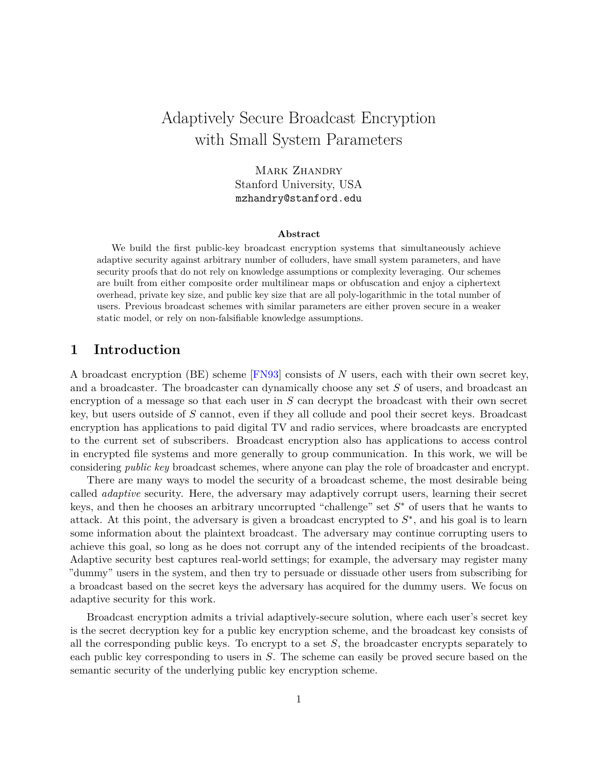# Adaptively Secure Broadcast Encryption with Small System Parameters

MARK ZHANDRY Stanford University, USA mzhandry@stanford.edu

#### **Abstract**

We build the first public-key broadcast encryption systems that simultaneously achieve adaptive security against arbitrary number of colluders, have small system parameters, and have security proofs that do not rely on knowledge assumptions or complexity leveraging. Our schemes are built from either composite order multilinear maps or obfuscation and enjoy a ciphertext overhead, private key size, and public key size that are all poly-logarithmic in the total number of users. Previous broadcast schemes with similar parameters are either proven secure in a weaker static model, or rely on non-falsifiable knowledge assumptions.

## **1 Introduction**

A broadcast encryption (BE) scheme [\[FN93\]](#page-37-0) consists of *N* users, each with their own secret key, and a broadcaster. The broadcaster can dynamically choose any set *S* of users, and broadcast an encryption of a message so that each user in *S* can decrypt the broadcast with their own secret key, but users outside of *S* cannot, even if they all collude and pool their secret keys. Broadcast encryption has applications to paid digital TV and radio services, where broadcasts are encrypted to the current set of subscribers. Broadcast encryption also has applications to access control in encrypted file systems and more generally to group communication. In this work, we will be considering *public key* broadcast schemes, where anyone can play the role of broadcaster and encrypt.

There are many ways to model the security of a broadcast scheme, the most desirable being called *adaptive* security. Here, the adversary may adaptively corrupt users, learning their secret keys, and then he chooses an arbitrary uncorrupted "challenge" set *S* <sup>∗</sup> of users that he wants to attack. At this point, the adversary is given a broadcast encrypted to *S* ∗ , and his goal is to learn some information about the plaintext broadcast. The adversary may continue corrupting users to achieve this goal, so long as he does not corrupt any of the intended recipients of the broadcast. Adaptive security best captures real-world settings; for example, the adversary may register many "dummy" users in the system, and then try to persuade or dissuade other users from subscribing for a broadcast based on the secret keys the adversary has acquired for the dummy users. We focus on adaptive security for this work.

Broadcast encryption admits a trivial adaptively-secure solution, where each user's secret key is the secret decryption key for a public key encryption scheme, and the broadcast key consists of all the corresponding public keys. To encrypt to a set *S*, the broadcaster encrypts separately to each public key corresponding to users in *S*. The scheme can easily be proved secure based on the semantic security of the underlying public key encryption scheme.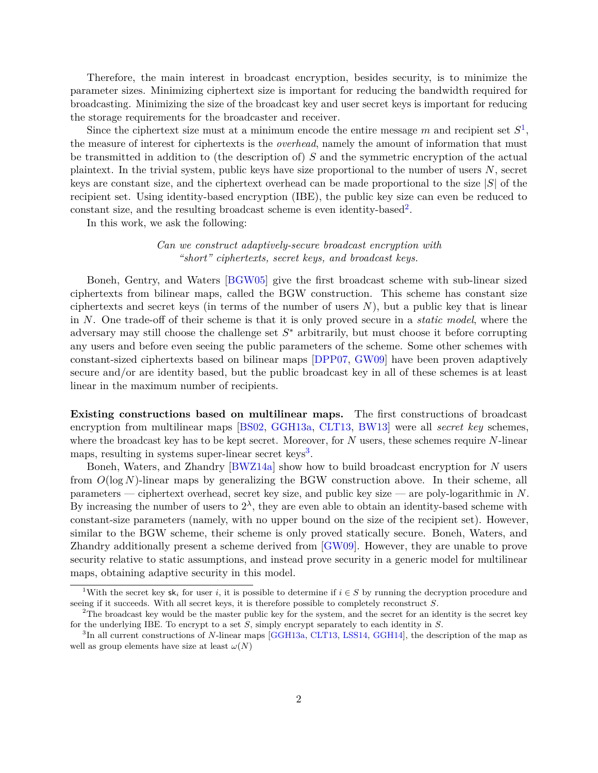Therefore, the main interest in broadcast encryption, besides security, is to minimize the parameter sizes. Minimizing ciphertext size is important for reducing the bandwidth required for broadcasting. Minimizing the size of the broadcast key and user secret keys is important for reducing the storage requirements for the broadcaster and receiver.

Since the ciphertext size must at a minimum encode the entire message  $m$  and recipient set  $S^1$  $S^1$ , the measure of interest for ciphertexts is the *overhead*, namely the amount of information that must be transmitted in addition to (the description of) *S* and the symmetric encryption of the actual plaintext. In the trivial system, public keys have size proportional to the number of users *N*, secret keys are constant size, and the ciphertext overhead can be made proportional to the size |*S*| of the recipient set. Using identity-based encryption (IBE), the public key size can even be reduced to constant size, and the resulting broadcast scheme is even identity-based<sup>[2](#page-1-1)</sup>.

In this work, we ask the following:

*Can we construct adaptively-secure broadcast encryption with "short" ciphertexts, secret keys, and broadcast keys.*

Boneh, Gentry, and Waters [\[BGW05\]](#page-36-0) give the first broadcast scheme with sub-linear sized ciphertexts from bilinear maps, called the BGW construction. This scheme has constant size ciphertexts and secret keys (in terms of the number of users  $N$ ), but a public key that is linear in *N*. One trade-off of their scheme is that it is only proved secure in a *static model*, where the adversary may still choose the challenge set *S* <sup>∗</sup> arbitrarily, but must choose it before corrupting any users and before even seeing the public parameters of the scheme. Some other schemes with constant-sized ciphertexts based on bilinear maps [\[DPP07,](#page-37-1) [GW09\]](#page-38-0) have been proven adaptively secure and/or are identity based, but the public broadcast key in all of these schemes is at least linear in the maximum number of recipients.

**Existing constructions based on multilinear maps.** The first constructions of broadcast encryption from multilinear maps [\[BS02,](#page-36-1) [GGH13a,](#page-37-2) [CLT13,](#page-37-3) [BW13\]](#page-36-2) were all *secret key* schemes, where the broadcast key has to be kept secret. Moreover, for *N* users, these schemes require *N*-linear maps, resulting in systems super-linear secret keys<sup>[3](#page-1-2)</sup>.

Boneh, Waters, and Zhandry [\[BWZ14a\]](#page-36-3) show how to build broadcast encryption for *N* users from *O*(log *N*)-linear maps by generalizing the BGW construction above. In their scheme, all parameters — ciphertext overhead, secret key size, and public key size — are poly-logarithmic in *N*. By increasing the number of users to  $2^{\lambda}$ , they are even able to obtain an identity-based scheme with constant-size parameters (namely, with no upper bound on the size of the recipient set). However, similar to the BGW scheme, their scheme is only proved statically secure. Boneh, Waters, and Zhandry additionally present a scheme derived from [\[GW09\]](#page-38-0). However, they are unable to prove security relative to static assumptions, and instead prove security in a generic model for multilinear maps, obtaining adaptive security in this model.

<span id="page-1-0"></span><sup>&</sup>lt;sup>1</sup>With the secret key  $sk_i$  for user *i*, it is possible to determine if  $i \in S$  by running the decryption procedure and seeing if it succeeds. With all secret keys, it is therefore possible to completely reconstruct *S*.

<span id="page-1-1"></span><sup>&</sup>lt;sup>2</sup>The broadcast key would be the master public key for the system, and the secret for an identity is the secret key for the underlying IBE. To encrypt to a set *S*, simply encrypt separately to each identity in *S*.

<span id="page-1-2"></span><sup>&</sup>lt;sup>3</sup>In all current constructions of *N*-linear maps [\[GGH13a,](#page-37-2) [CLT13,](#page-37-3) [LSS14,](#page-39-0) [GGH14\]](#page-38-1), the description of the map as well as group elements have size at least  $\omega(N)$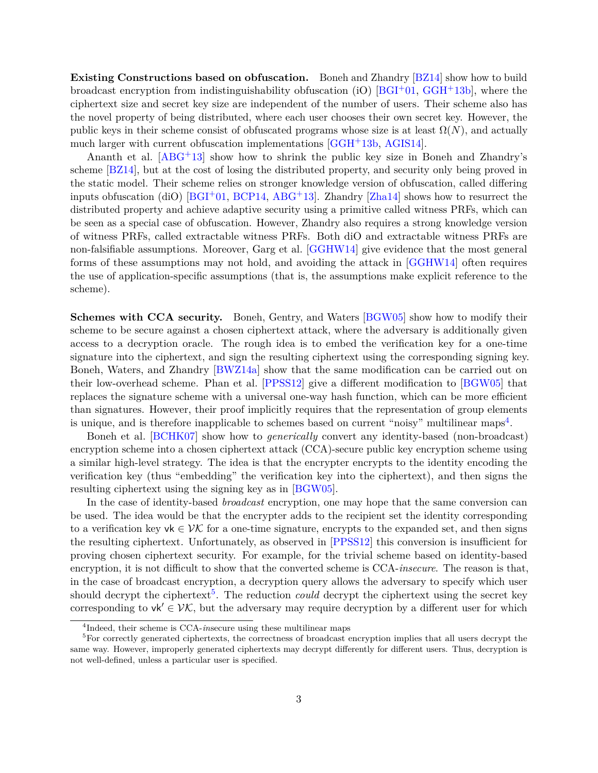**Existing Constructions based on obfuscation.** Boneh and Zhandry [\[BZ14\]](#page-37-4) show how to build broadcast encryption from indistinguishability obfuscation (iO)  $[BGI<sup>+</sup>01, GGH<sup>+</sup>13b]$  $[BGI<sup>+</sup>01, GGH<sup>+</sup>13b]$  $[BGI<sup>+</sup>01, GGH<sup>+</sup>13b]$  $[BGI<sup>+</sup>01, GGH<sup>+</sup>13b]$ , where the ciphertext size and secret key size are independent of the number of users. Their scheme also has the novel property of being distributed, where each user chooses their own secret key. However, the public keys in their scheme consist of obfuscated programs whose size is at least  $\Omega(N)$ , and actually much larger with current obfuscation implementations [\[GGH](#page-37-5)+13b, [AGIS14\]](#page-36-5).

Ananth et al. [\[ABG](#page-35-0)+13] show how to shrink the public key size in Boneh and Zhandry's scheme [\[BZ14\]](#page-37-4), but at the cost of losing the distributed property, and security only being proved in the static model. Their scheme relies on stronger knowledge version of obfuscation, called differing inputs obfuscation (diO)  $[{\rm B}G I^+01, {\rm B}C P14, {\rm AB}G^+13]$ . Zhandry [\[Zha14\]](#page-39-1) shows how to resurrect the distributed property and achieve adaptive security using a primitive called witness PRFs, which can be seen as a special case of obfuscation. However, Zhandry also requires a strong knowledge version of witness PRFs, called extractable witness PRFs. Both diO and extractable witness PRFs are non-falsifiable assumptions. Moreover, Garg et al. [\[GGHW14\]](#page-38-2) give evidence that the most general forms of these assumptions may not hold, and avoiding the attack in [\[GGHW14\]](#page-38-2) often requires the use of application-specific assumptions (that is, the assumptions make explicit reference to the scheme).

**Schemes with CCA security.** Boneh, Gentry, and Waters [\[BGW05\]](#page-36-0) show how to modify their scheme to be secure against a chosen ciphertext attack, where the adversary is additionally given access to a decryption oracle. The rough idea is to embed the verification key for a one-time signature into the ciphertext, and sign the resulting ciphertext using the corresponding signing key. Boneh, Waters, and Zhandry [\[BWZ14a\]](#page-36-3) show that the same modification can be carried out on their low-overhead scheme. Phan et al. [\[PPSS12\]](#page-39-2) give a different modification to [\[BGW05\]](#page-36-0) that replaces the signature scheme with a universal one-way hash function, which can be more efficient than signatures. However, their proof implicitly requires that the representation of group elements is unique, and is therefore inapplicable to schemes based on current "noisy" multilinear maps<sup>[4](#page-2-0)</sup>.

Boneh et al. [\[BCHK07\]](#page-36-7) show how to *generically* convert any identity-based (non-broadcast) encryption scheme into a chosen ciphertext attack (CCA)-secure public key encryption scheme using a similar high-level strategy. The idea is that the encrypter encrypts to the identity encoding the verification key (thus "embedding" the verification key into the ciphertext), and then signs the resulting ciphertext using the signing key as in [\[BGW05\]](#page-36-0).

In the case of identity-based *broadcast* encryption, one may hope that the same conversion can be used. The idea would be that the encrypter adds to the recipient set the identity corresponding to a verification key vk  $\in$  VK for a one-time signature, encrypts to the expanded set, and then signs the resulting ciphertext. Unfortunately, as observed in [\[PPSS12\]](#page-39-2) this conversion is insufficient for proving chosen ciphertext security. For example, for the trivial scheme based on identity-based encryption, it is not difficult to show that the converted scheme is CCA-*insecure*. The reason is that, in the case of broadcast encryption, a decryption query allows the adversary to specify which user should decrypt the ciphertext<sup>[5](#page-2-1)</sup>. The reduction *could* decrypt the ciphertext using the secret key corresponding to  $vk' \in \mathcal{VK}$ , but the adversary may require decryption by a different user for which

<span id="page-2-1"></span><span id="page-2-0"></span><sup>&</sup>lt;sup>4</sup>Indeed, their scheme is CCA-*insecure* using these multilinear maps

<sup>&</sup>lt;sup>5</sup>For correctly generated ciphertexts, the correctness of broadcast encryption implies that all users decrypt the same way. However, improperly generated ciphertexts may decrypt differently for different users. Thus, decryption is not well-defined, unless a particular user is specified.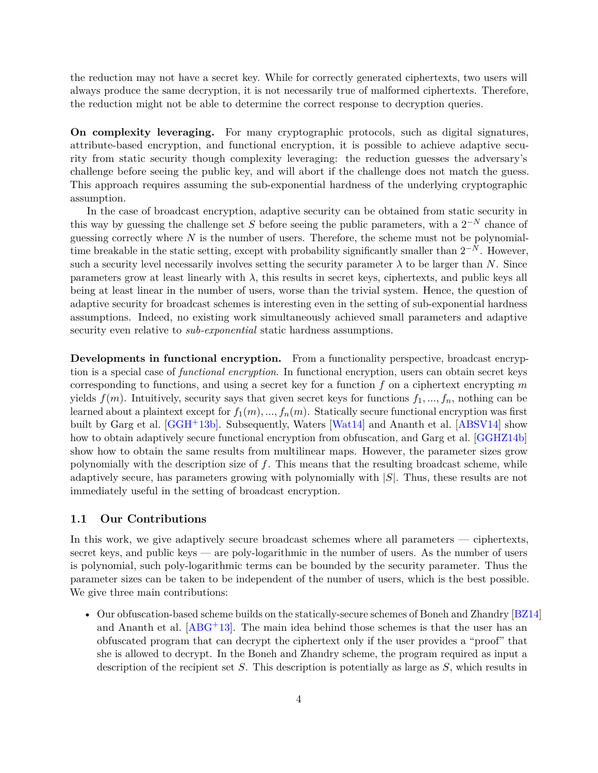the reduction may not have a secret key. While for correctly generated ciphertexts, two users will always produce the same decryption, it is not necessarily true of malformed ciphertexts. Therefore, the reduction might not be able to determine the correct response to decryption queries.

**On complexity leveraging.** For many cryptographic protocols, such as digital signatures, attribute-based encryption, and functional encryption, it is possible to achieve adaptive security from static security though complexity leveraging: the reduction guesses the adversary's challenge before seeing the public key, and will abort if the challenge does not match the guess. This approach requires assuming the sub-exponential hardness of the underlying cryptographic assumption.

In the case of broadcast encryption, adaptive security can be obtained from static security in this way by guessing the challenge set *S* before seeing the public parameters, with a  $2^{-N}$  chance of guessing correctly where *N* is the number of users. Therefore, the scheme must not be polynomialtime breakable in the static setting, except with probability significantly smaller than  $2^{-N}$ . However, such a security level necessarily involves setting the security parameter  $\lambda$  to be larger than *N*. Since parameters grow at least linearly with  $\lambda$ , this results in secret keys, ciphertexts, and public keys all being at least linear in the number of users, worse than the trivial system. Hence, the question of adaptive security for broadcast schemes is interesting even in the setting of sub-exponential hardness assumptions. Indeed, no existing work simultaneously achieved small parameters and adaptive security even relative to *sub-exponential* static hardness assumptions.

**Developments in functional encryption.** From a functionality perspective, broadcast encryption is a special case of *functional encryption*. In functional encryption, users can obtain secret keys corresponding to functions, and using a secret key for a function *f* on a ciphertext encrypting *m* yields  $f(m)$ . Intuitively, security says that given secret keys for functions  $f_1, ..., f_n$ , nothing can be learned about a plaintext except for  $f_1(m), ..., f_n(m)$ . Statically secure functional encryption was first built by Garg et al.  $[GGH^+13b]$  $[GGH^+13b]$ . Subsequently, Waters  $[Wat14]$  and Ananth et al.  $[ABSV14]$  show how to obtain adaptively secure functional encryption from obfuscation, and Garg et al. [\[GGHZ14b\]](#page-38-3) show how to obtain the same results from multilinear maps. However, the parameter sizes grow polynomially with the description size of *f*. This means that the resulting broadcast scheme, while adaptively secure, has parameters growing with polynomially with |*S*|. Thus, these results are not immediately useful in the setting of broadcast encryption.

## **1.1 Our Contributions**

In this work, we give adaptively secure broadcast schemes where all parameters — ciphertexts, secret keys, and public keys — are poly-logarithmic in the number of users. As the number of users is polynomial, such poly-logarithmic terms can be bounded by the security parameter. Thus the parameter sizes can be taken to be independent of the number of users, which is the best possible. We give three main contributions:

• Our obfuscation-based scheme builds on the statically-secure schemes of Boneh and Zhandry [\[BZ14\]](#page-37-4) and Ananth et al.  $[ABC^+13]$ . The main idea behind those schemes is that the user has an obfuscated program that can decrypt the ciphertext only if the user provides a "proof" that she is allowed to decrypt. In the Boneh and Zhandry scheme, the program required as input a description of the recipient set *S*. This description is potentially as large as *S*, which results in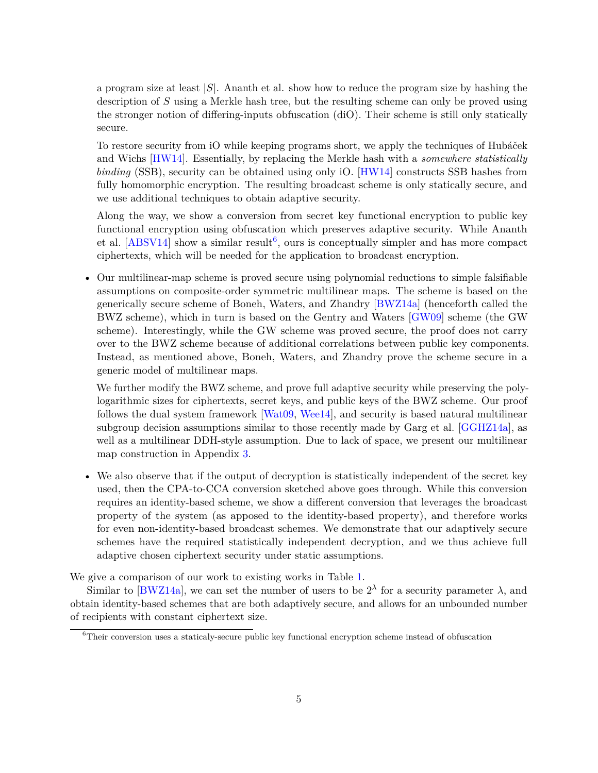a program size at least  $|S|$ . Ananth et al. show how to reduce the program size by hashing the description of *S* using a Merkle hash tree, but the resulting scheme can only be proved using the stronger notion of differing-inputs obfuscation (diO). Their scheme is still only statically secure.

To restore security from iO while keeping programs short, we apply the techniques of Hubáček and Wichs [\[HW14\]](#page-38-4). Essentially, by replacing the Merkle hash with a *somewhere statistically binding* (SSB), security can be obtained using only iO. [\[HW14\]](#page-38-4) constructs SSB hashes from fully homomorphic encryption. The resulting broadcast scheme is only statically secure, and we use additional techniques to obtain adaptive security.

Along the way, we show a conversion from secret key functional encryption to public key functional encryption using obfuscation which preserves adaptive security. While Ananth et al.  $[ABSV14]$  show a similar result<sup>[6](#page-4-0)</sup>, ours is conceptually simpler and has more compact ciphertexts, which will be needed for the application to broadcast encryption.

• Our multilinear-map scheme is proved secure using polynomial reductions to simple falsifiable assumptions on composite-order symmetric multilinear maps. The scheme is based on the generically secure scheme of Boneh, Waters, and Zhandry [\[BWZ14a\]](#page-36-3) (henceforth called the BWZ scheme), which in turn is based on the Gentry and Waters [\[GW09\]](#page-38-0) scheme (the GW scheme). Interestingly, while the GW scheme was proved secure, the proof does not carry over to the BWZ scheme because of additional correlations between public key components. Instead, as mentioned above, Boneh, Waters, and Zhandry prove the scheme secure in a generic model of multilinear maps.

We further modify the BWZ scheme, and prove full adaptive security while preserving the polylogarithmic sizes for ciphertexts, secret keys, and public keys of the BWZ scheme. Our proof follows the dual system framework [\[Wat09,](#page-39-4) [Wee14\]](#page-39-5), and security is based natural multilinear subgroup decision assumptions similar to those recently made by Garg et al. [\[GGHZ14a\]](#page-38-5), as well as a multilinear DDH-style assumption. Due to lack of space, we present our multilinear map construction in Appendix [3.](#page-11-0)

• We also observe that if the output of decryption is statistically independent of the secret key used, then the CPA-to-CCA conversion sketched above goes through. While this conversion requires an identity-based scheme, we show a different conversion that leverages the broadcast property of the system (as apposed to the identity-based property), and therefore works for even non-identity-based broadcast schemes. We demonstrate that our adaptively secure schemes have the required statistically independent decryption, and we thus achieve full adaptive chosen ciphertext security under static assumptions.

We give a comparison of our work to existing works in Table [1.](#page-5-0)

Similar to [\[BWZ14a\]](#page-36-3), we can set the number of users to be  $2^{\lambda}$  for a security parameter  $\lambda$ , and obtain identity-based schemes that are both adaptively secure, and allows for an unbounded number of recipients with constant ciphertext size.

<span id="page-4-0"></span><sup>&</sup>lt;sup>6</sup>Their conversion uses a staticaly-secure public key functional encryption scheme instead of obfuscation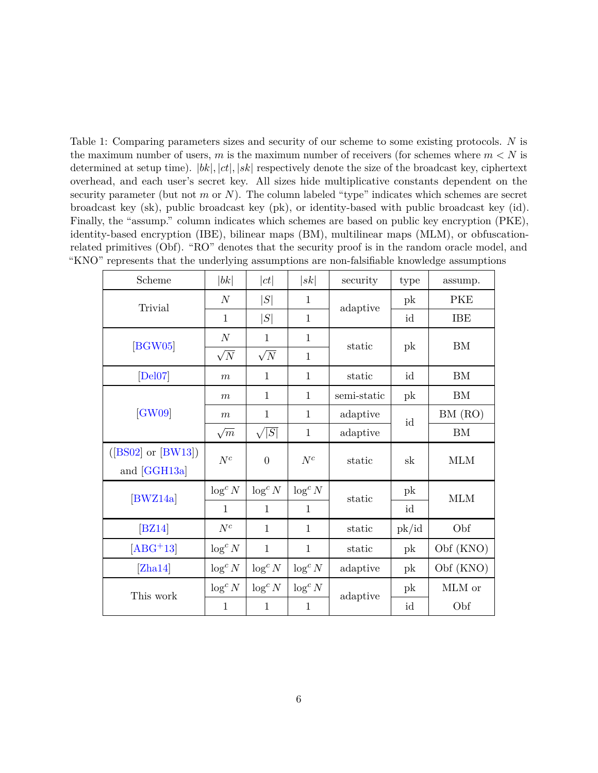<span id="page-5-0"></span>Table 1: Comparing parameters sizes and security of our scheme to some existing protocols. *N* is the maximum number of users,  $m$  is the maximum number of receivers (for schemes where  $m < N$  is determined at setup time). |*bk*|*,* |*ct*|*,* |*sk*| respectively denote the size of the broadcast key, ciphertext overhead, and each user's secret key. All sizes hide multiplicative constants dependent on the security parameter (but not *m* or *N*). The column labeled "type" indicates which schemes are secret broadcast key (sk), public broadcast key (pk), or identity-based with public broadcast key (id). Finally, the "assump." column indicates which schemes are based on public key encryption (PKE), identity-based encryption (IBE), bilinear maps (BM), multilinear maps (MLM), or obfuscationrelated primitives (Obf). "RO" denotes that the security proof is in the random oracle model, and "KNO" represents that the underlying assumptions are non-falsifiable knowledge assumptions

| Scheme                                        | bk               | ct             | sk           | security    | type        | assump.    |
|-----------------------------------------------|------------------|----------------|--------------|-------------|-------------|------------|
| Trivial                                       | N                | S              | $\mathbf 1$  | adaptive    | pk          | PKE        |
|                                               | $\mathbf{1}$     | S              | $\mathbf{1}$ |             | id          | <b>IBE</b> |
| [BGW05]                                       | N                | $\mathbf{1}$   | $\mathbf{1}$ | static      | pk          | <b>BM</b>  |
|                                               | $\sqrt{N}$       | $\sqrt{N}$     | $\mathbf{1}$ |             |             |            |
| [Del07]                                       | $\boldsymbol{m}$ | $\mathbf{1}$   | $\mathbf{1}$ | static      | id          | <b>BM</b>  |
| [GW09]                                        | $\boldsymbol{m}$ | 1              | $\mathbf 1$  | semi-static | pk          | BM         |
|                                               | $\,m$            | $\mathbf{1}$   | 1            | adaptive    | id          | BM (RO)    |
|                                               | $\sqrt{m}$       | $\sqrt{ S }$   | $\mathbf{1}$ | adaptive    |             | ${\rm BM}$ |
| $([BS02] \text{ or } [BW13])$<br>and [GGH13a] | $N^c$            | $\overline{0}$ | ${\cal N}^c$ | static      | $_{\rm sk}$ | <b>MLM</b> |
| [BWZ14a]                                      | $\log^c N$       | $\log^c N$     | $\log^c N$   | static      | $\rm pk$    | <b>MLM</b> |
|                                               | $\mathbf{1}$     | 1              | $\mathbf 1$  |             | id          |            |
| BZ14                                          | $N^c$            | $\mathbf{1}$   | $\mathbf{1}$ | static      | pk/id       | Obf        |
| $[ABC+13]$                                    | $\log^c N$       | $\mathbf{1}$   | $\mathbf{1}$ | static      | pk          | Obf (KNO)  |
| [Zha14]                                       | $\log^c N$       | $\log^c N$     | $\log^c N$   | adaptive    | $\rm pk$    | Obf (KNO)  |
| This work                                     | $\log^c N$       | $\log^c N$     | $\log^c N$   | adaptive    | $\rm pk$    | MLM or     |
|                                               | 1                | 1              | 1            |             | id          | Obf        |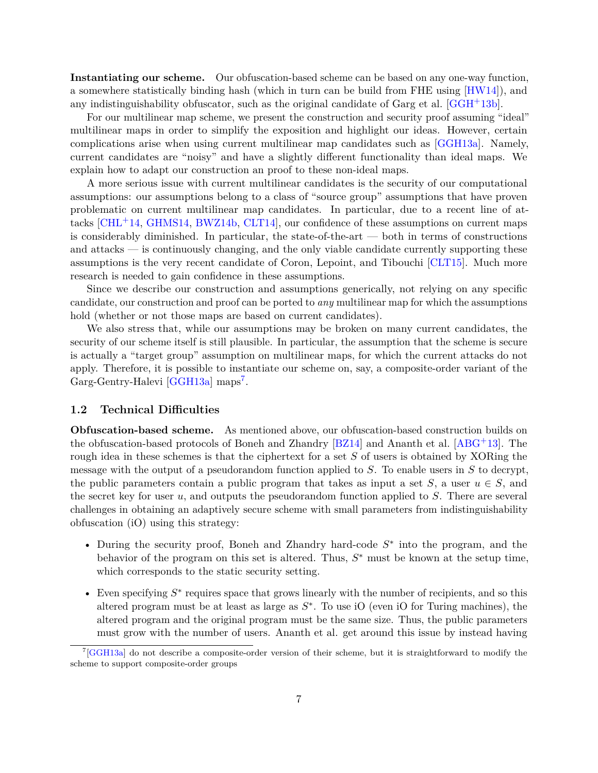**Instantiating our scheme.** Our obfuscation-based scheme can be based on any one-way function, a somewhere statistically binding hash (which in turn can be build from FHE using  $(HW14)$ ), and any indistinguishability obfuscator, such as the original candidate of Garg et al. [\[GGH](#page-37-5)+13b].

For our multilinear map scheme, we present the construction and security proof assuming "ideal" multilinear maps in order to simplify the exposition and highlight our ideas. However, certain complications arise when using current multilinear map candidates such as [\[GGH13a\]](#page-37-2). Namely, current candidates are "noisy" and have a slightly different functionality than ideal maps. We explain how to adapt our construction an proof to these non-ideal maps.

A more serious issue with current multilinear candidates is the security of our computational assumptions: our assumptions belong to a class of "source group" assumptions that have proven problematic on current multilinear map candidates. In particular, due to a recent line of attacks  $[CHL<sup>+</sup>14, GHMS14, BWZ14b, CLT14]$  $[CHL<sup>+</sup>14, GHMS14, BWZ14b, CLT14]$  $[CHL<sup>+</sup>14, GHMS14, BWZ14b, CLT14]$  $[CHL<sup>+</sup>14, GHMS14, BWZ14b, CLT14]$  $[CHL<sup>+</sup>14, GHMS14, BWZ14b, CLT14]$  $[CHL<sup>+</sup>14, GHMS14, BWZ14b, CLT14]$  $[CHL<sup>+</sup>14, GHMS14, BWZ14b, CLT14]$ , our confidence of these assumptions on current maps is considerably diminished. In particular, the state-of-the-art  $-$  both in terms of constructions and attacks — is continuously changing, and the only viable candidate currently supporting these assumptions is the very recent candidate of Coron, Lepoint, and Tibouchi [\[CLT15\]](#page-37-9). Much more research is needed to gain confidence in these assumptions.

Since we describe our construction and assumptions generically, not relying on any specific candidate, our construction and proof can be ported to *any* multilinear map for which the assumptions hold (whether or not those maps are based on current candidates).

We also stress that, while our assumptions may be broken on many current candidates, the security of our scheme itself is still plausible. In particular, the assumption that the scheme is secure is actually a "target group" assumption on multilinear maps, for which the current attacks do not apply. Therefore, it is possible to instantiate our scheme on, say, a composite-order variant of the Garg-Gentry-Halevi [\[GGH13a\]](#page-37-2) maps<sup>[7](#page-6-0)</sup>.

#### **1.2 Technical Difficulties**

**Obfuscation-based scheme.** As mentioned above, our obfuscation-based construction builds on the obfuscation-based protocols of Boneh and Zhandry [\[BZ14\]](#page-37-4) and Ananth et al. [\[ABG](#page-35-0)+13]. The rough idea in these schemes is that the ciphertext for a set *S* of users is obtained by XORing the message with the output of a pseudorandom function applied to *S*. To enable users in *S* to decrypt, the public parameters contain a public program that takes as input a set *S*, a user  $u \in S$ , and the secret key for user *u*, and outputs the pseudorandom function applied to *S*. There are several challenges in obtaining an adaptively secure scheme with small parameters from indistinguishability obfuscation (iO) using this strategy:

- During the security proof, Boneh and Zhandry hard-code *S* ∗ into the program, and the behavior of the program on this set is altered. Thus, *S* <sup>∗</sup> must be known at the setup time, which corresponds to the static security setting.
- Even specifying *S* ∗ requires space that grows linearly with the number of recipients, and so this altered program must be at least as large as *S* ∗ . To use iO (even iO for Turing machines), the altered program and the original program must be the same size. Thus, the public parameters must grow with the number of users. Ananth et al. get around this issue by instead having

<span id="page-6-0"></span><sup>7</sup> [\[GGH13a\]](#page-37-2) do not describe a composite-order version of their scheme, but it is straightforward to modify the scheme to support composite-order groups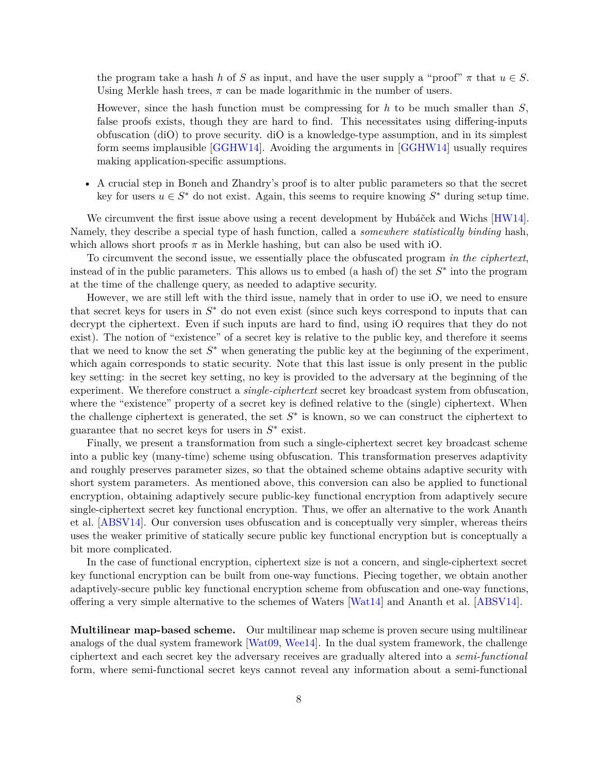the program take a hash *h* of *S* as input, and have the user supply a "proof"  $\pi$  that  $u \in S$ . Using Merkle hash trees,  $\pi$  can be made logarithmic in the number of users.

However, since the hash function must be compressing for *h* to be much smaller than *S*, false proofs exists, though they are hard to find. This necessitates using differing-inputs obfuscation (diO) to prove security. diO is a knowledge-type assumption, and in its simplest form seems implausible [\[GGHW14\]](#page-38-2). Avoiding the arguments in [\[GGHW14\]](#page-38-2) usually requires making application-specific assumptions.

• A crucial step in Boneh and Zhandry's proof is to alter public parameters so that the secret key for users  $u \in S^*$  do not exist. Again, this seems to require knowing  $S^*$  during setup time.

We circumvent the first issue above using a recent development by Hubáček and Wichs [\[HW14\]](#page-38-4). Namely, they describe a special type of hash function, called a *somewhere statistically binding* hash, which allows short proofs  $\pi$  as in Merkle hashing, but can also be used with iO.

To circumvent the second issue, we essentially place the obfuscated program *in the ciphertext*, instead of in the public parameters. This allows us to embed (a hash of) the set *S* ∗ into the program at the time of the challenge query, as needed to adaptive security.

However, we are still left with the third issue, namely that in order to use iO, we need to ensure that secret keys for users in  $S^*$  do not even exist (since such keys correspond to inputs that can decrypt the ciphertext. Even if such inputs are hard to find, using iO requires that they do not exist). The notion of "existence" of a secret key is relative to the public key, and therefore it seems that we need to know the set  $S^*$  when generating the public key at the beginning of the experiment, which again corresponds to static security. Note that this last issue is only present in the public key setting: in the secret key setting, no key is provided to the adversary at the beginning of the experiment. We therefore construct a *single-ciphertext* secret key broadcast system from obfuscation, where the "existence" property of a secret key is defined relative to the (single) ciphertext. When the challenge ciphertext is generated, the set  $S^*$  is known, so we can construct the ciphertext to guarantee that no secret keys for users in  $S^*$  exist.

Finally, we present a transformation from such a single-ciphertext secret key broadcast scheme into a public key (many-time) scheme using obfuscation. This transformation preserves adaptivity and roughly preserves parameter sizes, so that the obtained scheme obtains adaptive security with short system parameters. As mentioned above, this conversion can also be applied to functional encryption, obtaining adaptively secure public-key functional encryption from adaptively secure single-ciphertext secret key functional encryption. Thus, we offer an alternative to the work Ananth et al. [\[ABSV14\]](#page-35-1). Our conversion uses obfuscation and is conceptually very simpler, whereas theirs uses the weaker primitive of statically secure public key functional encryption but is conceptually a bit more complicated.

In the case of functional encryption, ciphertext size is not a concern, and single-ciphertext secret key functional encryption can be built from one-way functions. Piecing together, we obtain another adaptively-secure public key functional encryption scheme from obfuscation and one-way functions, offering a very simple alternative to the schemes of Waters [\[Wat14\]](#page-39-3) and Ananth et al. [\[ABSV14\]](#page-35-1).

**Multilinear map-based scheme.** Our multilinear map scheme is proven secure using multilinear analogs of the dual system framework [\[Wat09,](#page-39-4) [Wee14\]](#page-39-5). In the dual system framework, the challenge ciphertext and each secret key the adversary receives are gradually altered into a *semi-functional* form, where semi-functional secret keys cannot reveal any information about a semi-functional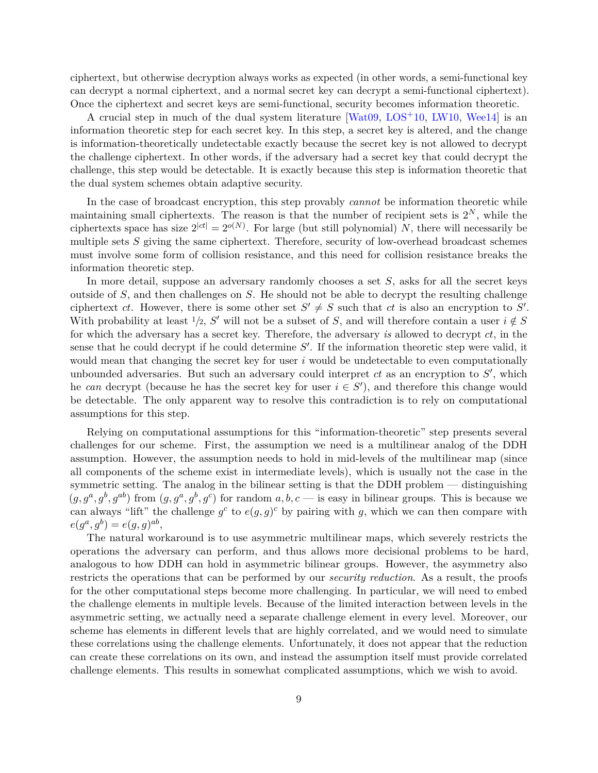ciphertext, but otherwise decryption always works as expected (in other words, a semi-functional key can decrypt a normal ciphertext, and a normal secret key can decrypt a semi-functional ciphertext). Once the ciphertext and secret keys are semi-functional, security becomes information theoretic.

A crucial step in much of the dual system literature [\[Wat09,](#page-39-4)  $LOG<sup>+</sup>10$ , [LW10,](#page-39-6) [Wee14\]](#page-39-5) is an information theoretic step for each secret key. In this step, a secret key is altered, and the change is information-theoretically undetectable exactly because the secret key is not allowed to decrypt the challenge ciphertext. In other words, if the adversary had a secret key that could decrypt the challenge, this step would be detectable. It is exactly because this step is information theoretic that the dual system schemes obtain adaptive security.

In the case of broadcast encryption, this step provably *cannot* be information theoretic while maintaining small ciphertexts. The reason is that the number of recipient sets is  $2^N$ , while the ciphertexts space has size  $2^{|ct|} = 2^{o(N)}$ . For large (but still polynomial) *N*, there will necessarily be multiple sets *S* giving the same ciphertext. Therefore, security of low-overhead broadcast schemes must involve some form of collision resistance, and this need for collision resistance breaks the information theoretic step.

In more detail, suppose an adversary randomly chooses a set *S*, asks for all the secret keys outside of *S*, and then challenges on *S*. He should not be able to decrypt the resulting challenge ciphertext *ct*. However, there is some other set  $S' \neq S$  such that *ct* is also an encryption to  $S'$ . With probability at least  $\frac{1}{2}$ , *S*' will not be a subset of *S*, and will therefore contain a user  $i \notin S$ for which the adversary has a secret key. Therefore, the adversary *is* allowed to decrypt *ct*, in the sense that he could decrypt if he could determine  $S'$ . If the information theoretic step were valid, it would mean that changing the secret key for user *i* would be undetectable to even computationally unbounded adversaries. But such an adversary could interpret  $ct$  as an encryption to  $S'$ , which he *can* decrypt (because he has the secret key for user  $i \in S'$ ), and therefore this change would be detectable. The only apparent way to resolve this contradiction is to rely on computational assumptions for this step.

Relying on computational assumptions for this "information-theoretic" step presents several challenges for our scheme. First, the assumption we need is a multilinear analog of the DDH assumption. However, the assumption needs to hold in mid-levels of the multilinear map (since all components of the scheme exist in intermediate levels), which is usually not the case in the symmetric setting. The analog in the bilinear setting is that the DDH problem — distinguishing  $(g, g^a, g^b, g^{ab})$  from  $(g, g^a, g^b, g^c)$  for random  $a, b, c$  — is easy in bilinear groups. This is because we can always "lift" the challenge  $g^c$  to  $e(g, g)^c$  by pairing with *g*, which we can then compare with  $e(g^a, g^b) = e(g, g)^{ab}$ 

The natural workaround is to use asymmetric multilinear maps, which severely restricts the operations the adversary can perform, and thus allows more decisional problems to be hard, analogous to how DDH can hold in asymmetric bilinear groups. However, the asymmetry also restricts the operations that can be performed by our *security reduction*. As a result, the proofs for the other computational steps become more challenging. In particular, we will need to embed the challenge elements in multiple levels. Because of the limited interaction between levels in the asymmetric setting, we actually need a separate challenge element in every level. Moreover, our scheme has elements in different levels that are highly correlated, and we would need to simulate these correlations using the challenge elements. Unfortunately, it does not appear that the reduction can create these correlations on its own, and instead the assumption itself must provide correlated challenge elements. This results in somewhat complicated assumptions, which we wish to avoid.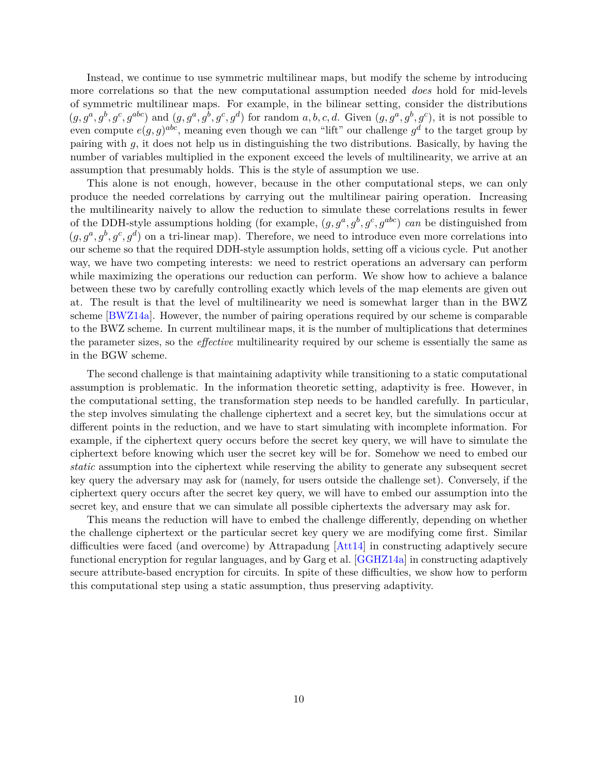Instead, we continue to use symmetric multilinear maps, but modify the scheme by introducing more correlations so that the new computational assumption needed *does* hold for mid-levels of symmetric multilinear maps. For example, in the bilinear setting, consider the distributions  $(g, g^a, g^b, g^c, g^{abc})$  and  $(g, g^a, g^b, g^c, g^d)$  for random  $a, b, c, d$ . Given  $(g, g^a, g^b, g^c)$ , it is not possible to even compute  $e(g, g)^{abc}$ , meaning even though we can "lift" our challenge  $g^d$  to the target group by pairing with *g*, it does not help us in distinguishing the two distributions. Basically, by having the number of variables multiplied in the exponent exceed the levels of multilinearity, we arrive at an assumption that presumably holds. This is the style of assumption we use.

This alone is not enough, however, because in the other computational steps, we can only produce the needed correlations by carrying out the multilinear pairing operation. Increasing the multilinearity naively to allow the reduction to simulate these correlations results in fewer of the DDH-style assumptions holding (for example,  $(g, g^a, g^b, g^c, g^{abc})$ ) *can* be distinguished from  $(g, g^a, g^b, g^c, g^d)$  on a tri-linear map). Therefore, we need to introduce even more correlations into our scheme so that the required DDH-style assumption holds, setting off a vicious cycle. Put another way, we have two competing interests: we need to restrict operations an adversary can perform while maximizing the operations our reduction can perform. We show how to achieve a balance between these two by carefully controlling exactly which levels of the map elements are given out at. The result is that the level of multilinearity we need is somewhat larger than in the BWZ scheme [\[BWZ14a\]](#page-36-3). However, the number of pairing operations required by our scheme is comparable to the BWZ scheme. In current multilinear maps, it is the number of multiplications that determines the parameter sizes, so the *effective* multilinearity required by our scheme is essentially the same as in the BGW scheme.

The second challenge is that maintaining adaptivity while transitioning to a static computational assumption is problematic. In the information theoretic setting, adaptivity is free. However, in the computational setting, the transformation step needs to be handled carefully. In particular, the step involves simulating the challenge ciphertext and a secret key, but the simulations occur at different points in the reduction, and we have to start simulating with incomplete information. For example, if the ciphertext query occurs before the secret key query, we will have to simulate the ciphertext before knowing which user the secret key will be for. Somehow we need to embed our *static* assumption into the ciphertext while reserving the ability to generate any subsequent secret key query the adversary may ask for (namely, for users outside the challenge set). Conversely, if the ciphertext query occurs after the secret key query, we will have to embed our assumption into the secret key, and ensure that we can simulate all possible ciphertexts the adversary may ask for.

This means the reduction will have to embed the challenge differently, depending on whether the challenge ciphertext or the particular secret key query we are modifying come first. Similar difficulties were faced (and overcome) by Attrapadung [\[Att14\]](#page-36-9) in constructing adaptively secure functional encryption for regular languages, and by Garg et al. [\[GGHZ14a\]](#page-38-5) in constructing adaptively secure attribute-based encryption for circuits. In spite of these difficulties, we show how to perform this computational step using a static assumption, thus preserving adaptivity.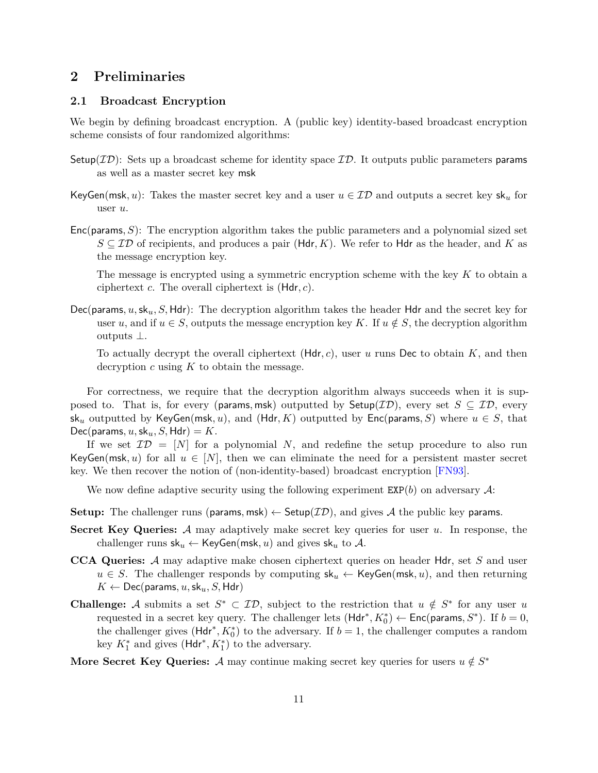# <span id="page-10-0"></span>**2 Preliminaries**

## **2.1 Broadcast Encryption**

We begin by defining broadcast encryption. A (public key) identity-based broadcast encryption scheme consists of four randomized algorithms:

- Setup( $ID$ ): Sets up a broadcast scheme for identity space  $ID$ . It outputs public parameters params as well as a master secret key msk
- KeyGen(msk, u): Takes the master secret key and a user  $u \in \mathcal{ID}$  and outputs a secret key sk<sub>u</sub> for user *u*.
- Enc(params*, S*): The encryption algorithm takes the public parameters and a polynomial sized set  $S \subseteq \mathcal{ID}$  of recipients, and produces a pair (Hdr, K). We refer to Hdr as the header, and K as the message encryption key.

The message is encrypted using a symmetric encryption scheme with the key *K* to obtain a ciphertext *c*. The overall ciphertext is (Hdr*, c*).

Dec(params*, u,*sk*u, S,* Hdr): The decryption algorithm takes the header Hdr and the secret key for user *u*, and if  $u \in S$ , outputs the message encryption key K. If  $u \notin S$ , the decryption algorithm outputs ⊥.

To actually decrypt the overall ciphertext (Hdr*, c*), user *u* runs Dec to obtain *K*, and then decryption *c* using *K* to obtain the message.

For correctness, we require that the decryption algorithm always succeeds when it is supposed to. That is, for every (params, msk) outputted by  $\mathsf{Setup}(\mathcal{ID})$ , every set  $S \subseteq \mathcal{ID}$ , every sk<sub>u</sub> outputted by KeyGen(msk, u), and (Hdr, K) outputted by Enc(params, S) where  $u \in S$ , that  $Dec(params, u, sk_u, S, Hdr) = K.$ 

If we set  $ID = [N]$  for a polynomial N, and redefine the setup procedure to also run KeyGen(msk, u) for all  $u \in [N]$ , then we can eliminate the need for a persistent master secret key. We then recover the notion of (non-identity-based) broadcast encryption [\[FN93\]](#page-37-0).

We now define adaptive security using the following experiment  $\text{EXP}(b)$  on adversary A:

- **Setup:** The challenger runs (params, msk)  $\leftarrow$  Setup(*ID*), and gives A the public key params.
- **Secret Key Queries:** A may adaptively make secret key queries for user *u*. In response, the challenger runs  $sk_u \leftarrow \text{KeyGen}(\text{msk}, u)$  and gives  $sk_u$  to A.
- **CCA Queries:** A may adaptive make chosen ciphertext queries on header Hdr, set *S* and user  $u \in S$ . The challenger responds by computing  $\mathsf{sk}_u \leftarrow \mathsf{KeyGen}(\mathsf{msk}, u)$ , and then returning  $K \leftarrow \mathsf{Dec}(\mathsf{params}, u, \mathsf{sk}_u, S, \mathsf{Hdr})$
- **Challenge:** A submits a set  $S^* \subset \mathcal{ID}$ , subject to the restriction that  $u \notin S^*$  for any user *u* requested in a secret key query. The challenger lets  $(Hdr^*, K_0^*) \leftarrow \text{Enc}(\text{params}, S^*)$ . If  $b = 0$ , the challenger gives ( $Hdr^*, K_0^*$ ) to the adversary. If  $b = 1$ , the challenger computes a random key  $K_1^*$  and gives  $(Hdr^*, K_1^*)$  to the adversary.
- More Secret Key Queries: A may continue making secret key queries for users  $u \notin S^*$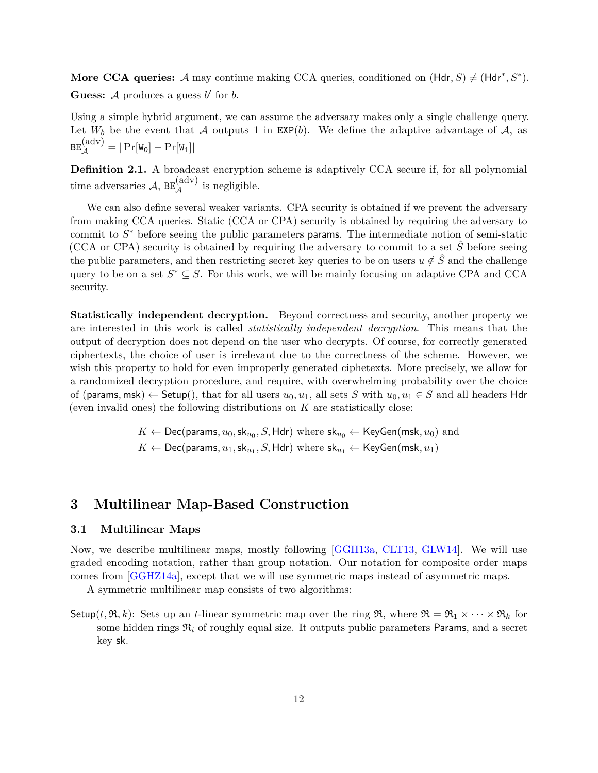**More CCA queries:** A may continue making CCA queries, conditioned on  $(Hdr, S) \neq (Hdr^*, S^*)$ . **Guess:**  $\mathcal A$  produces a guess  $b'$  for  $b$ .

Using a simple hybrid argument, we can assume the adversary makes only a single challenge query. Let  $W_b$  be the event that A outputs 1 in  $EXP(b)$ . We define the adaptive advantage of A, as  $\texttt{BE}^{\text{(adv)}}_{\mathcal{A}} = |\Pr[\mathtt{W_0}] - \Pr[\mathtt{W_1}]|$ 

**Definition 2.1.** A broadcast encryption scheme is adaptively CCA secure if, for all polynomial time adversaries  $A$ ,  $BE_{\mathcal{A}}^{(\text{adv})}$  is negligible.

We can also define several weaker variants. CPA security is obtained if we prevent the adversary from making CCA queries. Static (CCA or CPA) security is obtained by requiring the adversary to commit to *S* <sup>∗</sup> before seeing the public parameters params. The intermediate notion of semi-static (CCA or CPA) security is obtained by requiring the adversary to commit to a set  $\hat{S}$  before seeing the public parameters, and then restricting secret key queries to be on users  $u \notin \hat{S}$  and the challenge query to be on a set  $S^* \subseteq S$ . For this work, we will be mainly focusing on adaptive CPA and CCA security.

**Statistically independent decryption.** Beyond correctness and security, another property we are interested in this work is called *statistically independent decryption*. This means that the output of decryption does not depend on the user who decrypts. Of course, for correctly generated ciphertexts, the choice of user is irrelevant due to the correctness of the scheme. However, we wish this property to hold for even improperly generated ciphetexts. More precisely, we allow for a randomized decryption procedure, and require, with overwhelming probability over the choice of (params, msk)  $\leftarrow$  Setup(), that for all users  $u_0, u_1$ , all sets *S* with  $u_0, u_1 \in S$  and all headers Hdr (even invalid ones) the following distributions on *K* are statistically close:

> $K \leftarrow \mathsf{Dec}(\mathsf{params}, u_0, \mathsf{sk}_{u_0}, S, \mathsf{Hdr})$  where  $\mathsf{sk}_{u_0} \leftarrow \mathsf{KeyGen}(\mathsf{msk}, u_0)$  and  $K \leftarrow \mathsf{Dec}(\mathsf{params}, u_1, \mathsf{sk}_{u_1}, S, \mathsf{Hdr})$  where  $\mathsf{sk}_{u_1} \leftarrow \mathsf{KeyGen}(\mathsf{msk}, u_1)$

# <span id="page-11-0"></span>**3 Multilinear Map-Based Construction**

#### **3.1 Multilinear Maps**

Now, we describe multilinear maps, mostly following [\[GGH13a,](#page-37-2) [CLT13,](#page-37-3) [GLW14\]](#page-38-8). We will use graded encoding notation, rather than group notation. Our notation for composite order maps comes from [\[GGHZ14a\]](#page-38-5), except that we will use symmetric maps instead of asymmetric maps.

A symmetric multilinear map consists of two algorithms:

Setup(*t*,  $\Re$ , *k*): Sets up an *t*-linear symmetric map over the ring  $\Re$ , where  $\Re = \Re_1 \times \cdots \times \Re_k$  for some hidden rings  $\mathfrak{R}_i$  of roughly equal size. It outputs public parameters Params, and a secret key sk.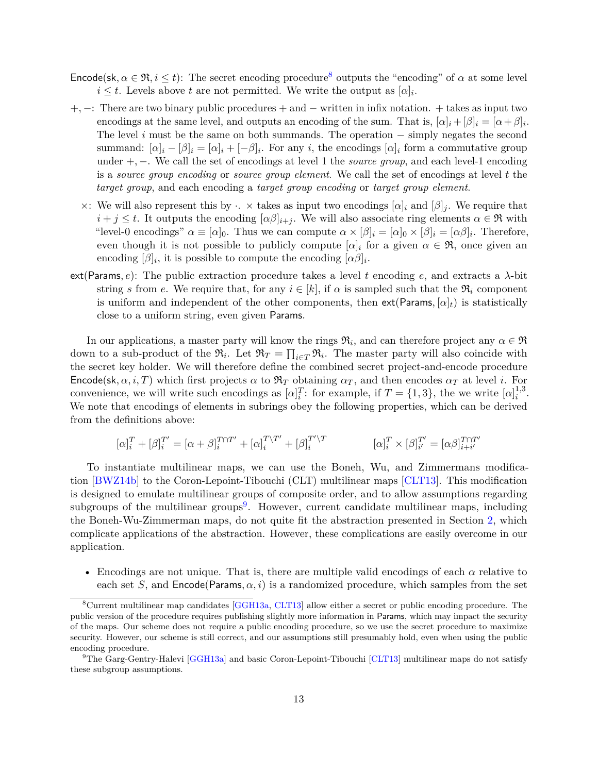- Encode(sk,  $\alpha \in \mathfrak{R}, i \leq t$ ): The secret encoding procedure<sup>[8](#page-12-0)</sup> outputs the "encoding" of  $\alpha$  at some level  $i \leq t$ . Levels above *t* are not permitted. We write the output as  $[\alpha]_i$ .
- +*,* −: There are two binary public procedures + and − written in infix notation. + takes as input two encodings at the same level, and outputs an encoding of the sum. That is,  $[\alpha]_i + [\beta]_i = [\alpha + \beta]_i$ . The level *i* must be the same on both summands. The operation − simply negates the second summand:  $[\alpha]_i - [\beta]_i = [\alpha]_i + [-\beta]_i$ . For any *i*, the encodings  $[\alpha]_i$  form a commutative group under +*,* −. We call the set of encodings at level 1 the *source group*, and each level-1 encoding is a *source group encoding* or *source group element*. We call the set of encodings at level *t* the *target group*, and each encoding a *target group encoding* or *target group element*.
	- $\times$ : We will also represent this by  $\cdot$   $\times$  takes as input two encodings  $[\alpha]_i$  and  $[\beta]_j$ . We require that  $i + j \leq t$ . It outputs the encoding  $[\alpha \beta]_{i+j}$ . We will also associate ring elements  $\alpha \in \mathfrak{R}$  with "level-0 encodings"  $\alpha \equiv [\alpha]_0$ . Thus we can compute  $\alpha \times [\beta]_i = [\alpha]_0 \times [\beta]_i = [\alpha \beta]_i$ . Therefore, even though it is not possible to publicly compute  $[\alpha]_i$  for a given  $\alpha \in \mathfrak{R}$ , once given an encoding  $[\beta]_i$ , it is possible to compute the encoding  $[\alpha \beta]_i$ .
- ext(Params*, e*): The public extraction procedure takes a level *t* encoding *e*, and extracts a *λ*-bit string *s* from *e*. We require that, for any  $i \in [k]$ , if  $\alpha$  is sampled such that the  $\mathfrak{R}_i$  component is uniform and independent of the other components, then  $ext(Params, [\alpha]_t)$  is statistically close to a uniform string, even given Params.

In our applications, a master party will know the rings  $\mathfrak{R}_i$ , and can therefore project any  $\alpha \in \mathfrak{R}$ down to a sub-product of the  $\mathfrak{R}_i$ . Let  $\mathfrak{R}_T = \prod_{i \in T} \mathfrak{R}_i$ . The master party will also coincide with the secret key holder. We will therefore define the combined secret project-and-encode procedure Encode(sk,  $\alpha$ , *i*, *T*) which first projects  $\alpha$  to  $\Re$ *T* obtaining  $\alpha$ *T*, and then encodes  $\alpha$ *T* at level *i*. For convenience, we will write such encodings as  $[\alpha]_i^T$ : for example, if  $T = \{1, 3\}$ , the we write  $[\alpha]_i^{1,3}$  $i^{1,3}$ . We note that encodings of elements in subrings obey the following properties, which can be derived from the definitions above:

$$
[\alpha]_i^T+[\beta]_i^{T'}=[\alpha+\beta]_i^{T\cap T'}+[\alpha]_i^{T\backslash T'}+[\beta]_i^{T'\backslash T} \hspace{1.5cm} [\alpha]_i^T\times[\beta]_{i'}^{T'}=[\alpha\beta]_{i+i'}^{T\cap T'}
$$

To instantiate multilinear maps, we can use the Boneh, Wu, and Zimmermans modification [\[BWZ14b\]](#page-36-8) to the Coron-Lepoint-Tibouchi (CLT) multilinear maps [\[CLT13\]](#page-37-3). This modification is designed to emulate multilinear groups of composite order, and to allow assumptions regarding subgroups of the multilinear groups<sup>[9](#page-12-1)</sup>. However, current candidate multilinear maps, including the Boneh-Wu-Zimmerman maps, do not quite fit the abstraction presented in Section [2,](#page-10-0) which complicate applications of the abstraction. However, these complications are easily overcome in our application.

• Encodings are not unique. That is, there are multiple valid encodings of each  $\alpha$  relative to each set *S*, and  $\mathsf{Encode}(\mathsf{Params}, \alpha, i)$  is a randomized procedure, which samples from the set

<span id="page-12-0"></span><sup>8</sup>Current multilinear map candidates [\[GGH13a,](#page-37-2) [CLT13\]](#page-37-3) allow either a secret or public encoding procedure. The public version of the procedure requires publishing slightly more information in Params, which may impact the security of the maps. Our scheme does not require a public encoding procedure, so we use the secret procedure to maximize security. However, our scheme is still correct, and our assumptions still presumably hold, even when using the public encoding procedure.

<span id="page-12-1"></span><sup>&</sup>lt;sup>9</sup>The Garg-Gentry-Halevi [\[GGH13a\]](#page-37-2) and basic Coron-Lepoint-Tibouchi [\[CLT13\]](#page-37-3) multilinear maps do not satisfy these subgroup assumptions.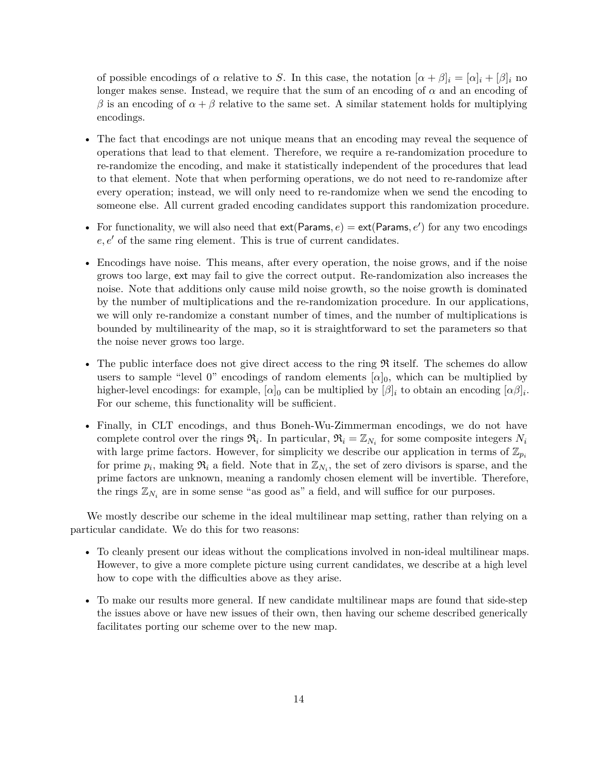of possible encodings of  $\alpha$  relative to *S*. In this case, the notation  $[\alpha + \beta]_i = [\alpha]_i + [\beta]_i$  no longer makes sense. Instead, we require that the sum of an encoding of *α* and an encoding of  $β$  is an encoding of  $α + β$  relative to the same set. A similar statement holds for multiplying encodings.

- The fact that encodings are not unique means that an encoding may reveal the sequence of operations that lead to that element. Therefore, we require a re-randomization procedure to re-randomize the encoding, and make it statistically independent of the procedures that lead to that element. Note that when performing operations, we do not need to re-randomize after every operation; instead, we will only need to re-randomize when we send the encoding to someone else. All current graded encoding candidates support this randomization procedure.
- For functionality, we will also need that  $ext(Params, e) = ext(Params, e')$  for any two encodings  $e, e'$  of the same ring element. This is true of current candidates.
- Encodings have noise. This means, after every operation, the noise grows, and if the noise grows too large, ext may fail to give the correct output. Re-randomization also increases the noise. Note that additions only cause mild noise growth, so the noise growth is dominated by the number of multiplications and the re-randomization procedure. In our applications, we will only re-randomize a constant number of times, and the number of multiplications is bounded by multilinearity of the map, so it is straightforward to set the parameters so that the noise never grows too large.
- The public interface does not give direct access to the ring  $\Re$  itself. The schemes do allow users to sample "level 0" encodings of random elements  $[\alpha]_0$ , which can be multiplied by higher-level encodings: for example,  $[\alpha]_0$  can be multiplied by  $[\beta]_i$  to obtain an encoding  $[\alpha\beta]_i$ . For our scheme, this functionality will be sufficient.
- Finally, in CLT encodings, and thus Boneh-Wu-Zimmerman encodings, we do not have complete control over the rings  $\mathfrak{R}_i$ . In particular,  $\mathfrak{R}_i = \mathbb{Z}_{N_i}$  for some composite integers  $N_i$ with large prime factors. However, for simplicity we describe our application in terms of  $\mathbb{Z}_{p_i}$ for prime  $p_i$ , making  $\mathfrak{R}_i$  a field. Note that in  $\mathbb{Z}_{N_i}$ , the set of zero divisors is sparse, and the prime factors are unknown, meaning a randomly chosen element will be invertible. Therefore, the rings  $\mathbb{Z}_{N_i}$  are in some sense "as good as" a field, and will suffice for our purposes.

We mostly describe our scheme in the ideal multilinear map setting, rather than relying on a particular candidate. We do this for two reasons:

- To cleanly present our ideas without the complications involved in non-ideal multilinear maps. However, to give a more complete picture using current candidates, we describe at a high level how to cope with the difficulties above as they arise.
- To make our results more general. If new candidate multilinear maps are found that side-step the issues above or have new issues of their own, then having our scheme described generically facilitates porting our scheme over to the new map.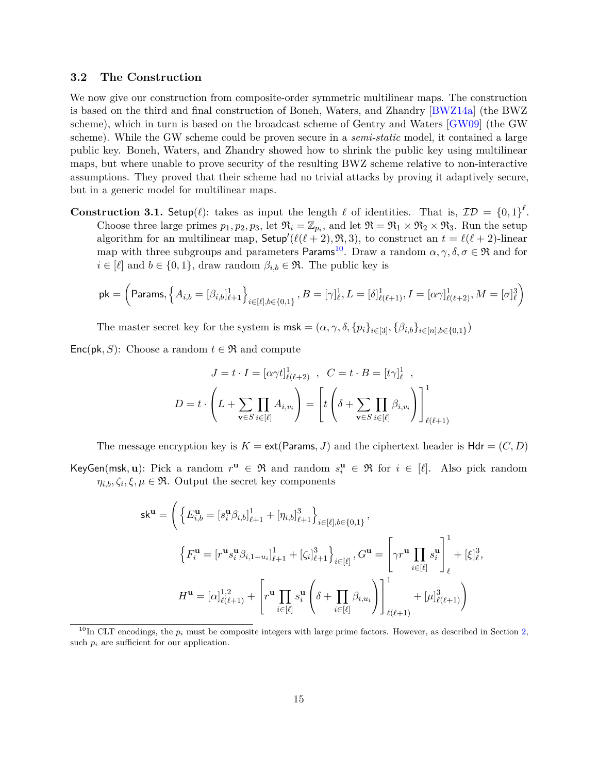#### **3.2 The Construction**

We now give our construction from composite-order symmetric multilinear maps. The construction is based on the third and final construction of Boneh, Waters, and Zhandry [\[BWZ14a\]](#page-36-3) (the BWZ scheme), which in turn is based on the broadcast scheme of Gentry and Waters [\[GW09\]](#page-38-0) (the GW scheme). While the GW scheme could be proven secure in a *semi-static* model, it contained a large public key. Boneh, Waters, and Zhandry showed how to shrink the public key using multilinear maps, but where unable to prove security of the resulting BWZ scheme relative to non-interactive assumptions. They proved that their scheme had no trivial attacks by proving it adaptively secure, but in a generic model for multilinear maps.

**Construction 3.1.** Setup( $\ell$ ): takes as input the length  $\ell$  of identities. That is,  $\mathcal{ID} = \{0, 1\}^{\ell}$ . Choose three large primes  $p_1, p_2, p_3$ , let  $\mathfrak{R}_i = \mathbb{Z}_{p_i}$ , and let  $\mathfrak{R} = \mathfrak{R}_1 \times \mathfrak{R}_2 \times \mathfrak{R}_3$ . Run the setup algorithm for an multilinear map,  $\mathsf{Setup}'(\ell(\ell+2), \mathfrak{R}, 3)$ , to construct an  $t = \ell(\ell+2)$ -linear map with three subgroups and parameters Params<sup>[10](#page-14-0)</sup>. Draw a random  $\alpha, \gamma, \delta, \sigma \in \mathfrak{R}$  and for  $i \in [\ell]$  and  $b \in \{0, 1\}$ , draw random  $\beta_{i,b} \in \mathfrak{R}$ . The public key is

$$
\mathsf{pk} = \left(\mathsf{Params}, \left\{A_{i,b} = [\beta_{i,b}]_{\ell+1}^1\right\}_{i \in [\ell], b \in \{0,1\}}, B = [\gamma]_{\ell}^1, L = [\delta]_{\ell(\ell+1)}^1, I = [\alpha \gamma]_{\ell(\ell+2)}^1, M = [\sigma]_{\ell}^3\right)
$$

The master secret key for the system is  $\text{msk} = (\alpha, \gamma, \delta, \{p_i\}_{i \in [3]}, \{\beta_{i,b}\}_{i \in [n], b \in \{0,1\}})$ 

Enc(pk, S): Choose a random  $t \in \mathfrak{R}$  and compute

$$
J = t \cdot I = [\alpha \gamma t]_{\ell(\ell+2)}^1, \quad C = t \cdot B = [t \gamma]_{\ell}^1,
$$
  

$$
D = t \cdot \left( L + \sum_{\mathbf{v} \in S} \prod_{i \in [\ell]} A_{i,v_i} \right) = \left[ t \left( \delta + \sum_{\mathbf{v} \in S} \prod_{i \in [\ell]} \beta_{i,v_i} \right) \right]_{\ell(\ell+1)}^1
$$

The message encryption key is  $K = ext(Params, J)$  and the ciphertext header is  $Hdr = (C, D)$ 

KeyGen(msk, **u**): Pick a random  $r^{\mathbf{u}} \in \mathfrak{R}$  and random  $s_i^{\mathbf{u}} \in \mathfrak{R}$  for  $i \in [\ell]$ . Also pick random  $\eta_{i,b}, \zeta_i, \xi, \mu \in \mathfrak{R}$ . Output the secret key components

$$
\mathbf{sk}^{\mathbf{u}} = \left( \left\{ E_{i,b}^{\mathbf{u}} = [s_i^{\mathbf{u}} \beta_{i,b}]_{\ell+1}^1 + [\eta_{i,b}]_{\ell+1}^3 \right\}_{i \in [\ell], b \in \{0,1\}}, \right.
$$
\n
$$
\left\{ F_i^{\mathbf{u}} = [r^{\mathbf{u}} s_i^{\mathbf{u}} \beta_{i,1-u_i}]_{\ell+1}^1 + [\zeta_i]_{\ell+1}^3 \right\}_{i \in [\ell]}, G^{\mathbf{u}} = \left[ \gamma r^{\mathbf{u}} \prod_{i \in [\ell]} s_i^{\mathbf{u}} \right]_{\ell}^1 + [\xi]_{\ell}^3
$$
\n
$$
H^{\mathbf{u}} = [\alpha]_{\ell(\ell+1)}^{1,2} + \left[ r^{\mathbf{u}} \prod_{i \in [\ell]} s_i^{\mathbf{u}} \left( \delta + \prod_{i \in [\ell]} \beta_{i,u_i} \right) \right]_{\ell(\ell+1)}^{1} + [\mu]_{\ell(\ell+1)}^3 \right)
$$

*,*

<span id="page-14-0"></span><sup>&</sup>lt;sup>10</sup>In CLT encodings, the  $p_i$  must be composite integers with large prime factors. However, as described in Section [2,](#page-10-0) such  $p_i$  are sufficient for our application.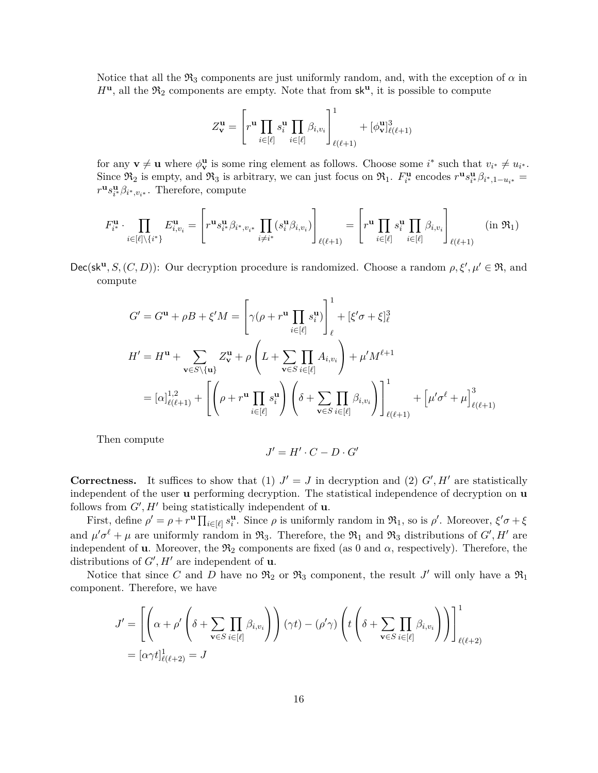Notice that all the  $\mathfrak{R}_3$  components are just uniformly random, and, with the exception of  $\alpha$  in  $H^{\mathbf{u}}$ , all the  $\mathfrak{R}_2$  components are empty. Note that from  $\mathsf{sk}^{\mathbf{u}}$ , it is possible to compute

$$
Z_{\mathbf{v}}^{\mathbf{u}} = \left[ r^{\mathbf{u}} \prod_{i \in [\ell]} s_i^{\mathbf{u}} \prod_{i \in [\ell]} \beta_{i, v_i} \right]_{\ell(\ell+1)}^1 + [\phi_{\mathbf{v}}^{\mathbf{u}}]_{\ell(\ell+1)}^3
$$

for any  $\mathbf{v} \neq \mathbf{u}$  where  $\phi_{\mathbf{v}}^{\mathbf{u}}$  is some ring element as follows. Choose some *i*<sup>\*</sup> such that  $v_{i^*} \neq u_{i^*}$ . Since  $\mathfrak{R}_2$  is empty, and  $\mathfrak{R}_3$  is arbitrary, we can just focus on  $\mathfrak{R}_1$ .  $F_{i^*}^{\mathbf{u}}$  encodes  $r^{\mathbf{u}} s_{i^*}^{\mathbf{u}} \beta_{i^*,1-u_{i^*}} =$  $r^{\mathbf{u}} s_{i^*}^{\mathbf{u}} \beta_{i^*, v_{i^*}}$ . Therefore, compute

$$
F_{i^*}^{\mathbf{u}} \cdot \prod_{i \in [\ell] \setminus \{i^*\}} E_{i, v_i}^{\mathbf{u}} = \left[ r^{\mathbf{u}} s_{i^*}^{\mathbf{u}} \beta_{i^*, v_{i^*}} \prod_{i \neq i^*} (s_i^{\mathbf{u}} \beta_{i, v_i}) \right]_{\ell(\ell+1)} = \left[ r^{\mathbf{u}} \prod_{i \in [\ell]} s_i^{\mathbf{u}} \prod_{i \in [\ell]} \beta_{i, v_i} \right]_{\ell(\ell+1)} \quad (\text{in } \Re_1)
$$

 $Dec(\mathsf{sk}^u, S, (C, D))$ : Our decryption procedure is randomized. Choose a random  $\rho, \xi', \mu' \in \mathfrak{R}$ , and compute

$$
G' = G^{\mathbf{u}} + \rho B + \xi'M = \left[\gamma(\rho + r^{\mathbf{u}} \prod_{i \in [\ell]} s_i^{\mathbf{u}})\right]_{\ell}^1 + [\xi'\sigma + \xi]_{\ell}^3
$$
  

$$
H' = H^{\mathbf{u}} + \sum_{\mathbf{v} \in S \setminus \{\mathbf{u}\}} Z_{\mathbf{v}}^{\mathbf{u}} + \rho \left(L + \sum_{\mathbf{v} \in S} \prod_{i \in [\ell]} A_{i,v_i}\right) + \mu'M^{\ell+1}
$$
  

$$
= [\alpha]_{\ell(\ell+1)}^{1,2} + \left[\left(\rho + r^{\mathbf{u}} \prod_{i \in [\ell]} s_i^{\mathbf{u}}\right) \left(\delta + \sum_{\mathbf{v} \in S} \prod_{i \in [\ell]} \beta_{i,v_i}\right)\right]_{\ell(\ell+1)}^1 + \left[\mu'\sigma^{\ell} + \mu\right]_{\ell(\ell+1)}^3
$$

Then compute

$$
J'=H'\cdot C-D\cdot G'
$$

**Correctness.** It suffices to show that (1)  $J' = J$  in decryption and (2)  $G', H'$  are statistically independent of the user **u** performing decryption. The statistical independence of decryption on **u** follows from  $G'$ ,  $H'$  being statistically independent of **u**.

First, define  $\rho' = \rho + r^{\mathbf{u}} \prod_{i \in [\ell]} s_i^{\mathbf{u}}$ . Since  $\rho$  is uniformly random in  $\mathfrak{R}_1$ , so is  $\rho'$ . Moreover,  $\xi' \sigma + \xi$ and  $\mu' \sigma^{\ell} + \mu$  are uniformly random in  $\mathfrak{R}_3$ . Therefore, the  $\mathfrak{R}_1$  and  $\mathfrak{R}_3$  distributions of  $G', H'$  are independent of **u**. Moreover, the  $\mathfrak{R}_2$  components are fixed (as 0 and  $\alpha$ , respectively). Therefore, the distributions of  $G'$ ,  $H'$  are independent of **u**.

Notice that since *C* and *D* have no  $\mathfrak{R}_2$  or  $\mathfrak{R}_3$  component, the result *J'* will only have a  $\mathfrak{R}_1$ component. Therefore, we have

$$
J' = \left[ \left( \alpha + \rho' \left( \delta + \sum_{\mathbf{v} \in S} \prod_{i \in [\ell]} \beta_{i, v_i} \right) \right) (\gamma t) - (\rho' \gamma) \left( t \left( \delta + \sum_{\mathbf{v} \in S} \prod_{i \in [\ell]} \beta_{i, v_i} \right) \right) \right]_{\ell(\ell+2)}^1
$$
  
= 
$$
[\alpha \gamma t]_{\ell(\ell+2)}^1 = J
$$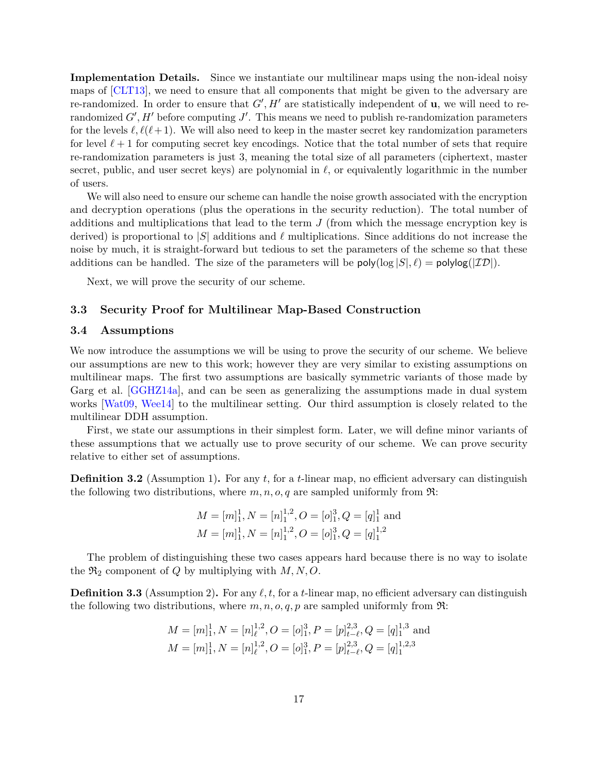**Implementation Details.** Since we instantiate our multilinear maps using the non-ideal noisy maps of [\[CLT13\]](#page-37-3), we need to ensure that all components that might be given to the adversary are re-randomized. In order to ensure that  $G'$ ,  $H'$  are statistically independent of  $\mathbf{u}$ , we will need to rerandomized  $G', H'$  before computing  $J'$ . This means we need to publish re-randomization parameters for the levels  $\ell, \ell(\ell+1)$ . We will also need to keep in the master secret key randomization parameters for level  $\ell + 1$  for computing secret key encodings. Notice that the total number of sets that require re-randomization parameters is just 3, meaning the total size of all parameters (ciphertext, master secret, public, and user secret keys) are polynomial in  $\ell$ , or equivalently logarithmic in the number of users.

We will also need to ensure our scheme can handle the noise growth associated with the encryption and decryption operations (plus the operations in the security reduction). The total number of additions and multiplications that lead to the term *J* (from which the message encryption key is derived) is proportional to |*S*| additions and  $\ell$  multiplications. Since additions do not increase the noise by much, it is straight-forward but tedious to set the parameters of the scheme so that these additions can be handled. The size of the parameters will be  $\text{poly}(\log |S|, \ell) = \text{polylog}(|\mathcal{ID}|).$ 

Next, we will prove the security of our scheme.

#### **3.3 Security Proof for Multilinear Map-Based Construction**

#### **3.4 Assumptions**

We now introduce the assumptions we will be using to prove the security of our scheme. We believe our assumptions are new to this work; however they are very similar to existing assumptions on multilinear maps. The first two assumptions are basically symmetric variants of those made by Garg et al. [\[GGHZ14a\]](#page-38-5), and can be seen as generalizing the assumptions made in dual system works [\[Wat09,](#page-39-4) [Wee14\]](#page-39-5) to the multilinear setting. Our third assumption is closely related to the multilinear DDH assumption.

First, we state our assumptions in their simplest form. Later, we will define minor variants of these assumptions that we actually use to prove security of our scheme. We can prove security relative to either set of assumptions.

**Definition 3.2** (Assumption 1)**.** For any *t*, for a *t*-linear map, no efficient adversary can distinguish the following two distributions, where  $m, n, o, q$  are sampled uniformly from  $\mathfrak{R}$ :

$$
M = [m]_1^1, N = [n]_1^{1,2}, O = [o]_1^3, Q = [q]_1^1
$$
 and  

$$
M = [m]_1^1, N = [n]_1^{1,2}, O = [o]_1^3, Q = [q]_1^{1,2}
$$

The problem of distinguishing these two cases appears hard because there is no way to isolate the  $\mathfrak{R}_2$  component of *Q* by multiplying with *M*, *N*, *O*.

**Definition 3.3** (Assumption 2). For any  $\ell$ , t, for a t-linear map, no efficient adversary can distinguish the following two distributions, where  $m, n, o, q, p$  are sampled uniformly from  $\Re$ :

$$
M = [m]_1^1, N = [n]_{\ell}^{1,2}, O = [o]_1^3, P = [p]_{t-\ell}^{2,3}, Q = [q]_1^{1,3} \text{ and}
$$

$$
M = [m]_1^1, N = [n]_{\ell}^{1,2}, O = [o]_1^3, P = [p]_{t-\ell}^{2,3}, Q = [q]_1^{1,2,3}
$$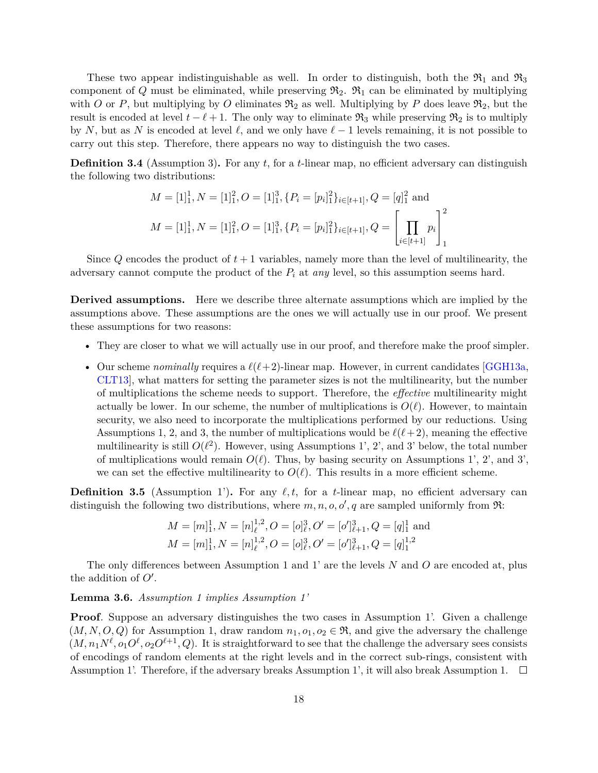These two appear indistinguishable as well. In order to distinguish, both the  $\mathfrak{R}_1$  and  $\mathfrak{R}_3$ component of  $Q$  must be eliminated, while preserving  $\mathfrak{R}_2$ .  $\mathfrak{R}_1$  can be eliminated by multiplying with *O* or *P*, but multiplying by *O* eliminates  $\mathfrak{R}_2$  as well. Multiplying by *P* does leave  $\mathfrak{R}_2$ , but the result is encoded at level  $t - \ell + 1$ . The only way to eliminate  $\mathfrak{R}_3$  while preserving  $\mathfrak{R}_2$  is to multiply by *N*, but as *N* is encoded at level  $\ell$ , and we only have  $\ell - 1$  levels remaining, it is not possible to carry out this step. Therefore, there appears no way to distinguish the two cases.

**Definition 3.4** (Assumption 3)**.** For any *t*, for a *t*-linear map, no efficient adversary can distinguish the following two distributions:

$$
M = [1]_1^1, N = [1]_1^2, O = [1]_1^3, \{P_i = [p_i]_1^2\}_{i \in [t+1]}, Q = [q]_1^2 \text{ and}
$$
  

$$
M = [1]_1^1, N = [1]_1^2, O = [1]_1^3, \{P_i = [p_i]_1^2\}_{i \in [t+1]}, Q = \left[\prod_{i \in [t+1]} p_i\right]_1^2
$$

Since  $Q$  encodes the product of  $t + 1$  variables, namely more than the level of multilinearity, the adversary cannot compute the product of the *P<sup>i</sup>* at *any* level, so this assumption seems hard.

**Derived assumptions.** Here we describe three alternate assumptions which are implied by the assumptions above. These assumptions are the ones we will actually use in our proof. We present these assumptions for two reasons:

- They are closer to what we will actually use in our proof, and therefore make the proof simpler.
- Our scheme *nominally* requires a  $\ell(\ell+2)$ -linear map. However, in current candidates [\[GGH13a,](#page-37-2) [CLT13\]](#page-37-3), what matters for setting the parameter sizes is not the multilinearity, but the number of multiplications the scheme needs to support. Therefore, the *effective* multilinearity might actually be lower. In our scheme, the number of multiplications is  $O(\ell)$ . However, to maintain security, we also need to incorporate the multiplications performed by our reductions. Using Assumptions 1, 2, and 3, the number of multiplications would be  $\ell(\ell + 2)$ , meaning the effective multilinearity is still  $O(\ell^2)$ . However, using Assumptions 1', 2', and 3' below, the total number of multiplications would remain  $O(\ell)$ . Thus, by basing security on Assumptions 1', 2', and 3', we can set the effective multilinearity to  $O(\ell)$ . This results in a more efficient scheme.

**Definition 3.5** (Assumption 1'). For any  $\ell, t$ , for a *t*-linear map, no efficient adversary can distinguish the following two distributions, where  $m, n, o, o', q$  are sampled uniformly from  $\Re$ :

$$
M = [m]_1^1, N = [n]_\ell^{1,2}, O = [o]_\ell^3, O' = [o']_{\ell+1}^3, Q = [q]_1^1
$$
 and  

$$
M = [m]_1^1, N = [n]_\ell^{1,2}, O = [o]_\ell^3, O' = [o']_{\ell+1}^3, Q = [q]_1^{1,2}
$$

The only differences between Assumption 1 and 1' are the levels *N* and *O* are encoded at, plus the addition of  $O'$ .

#### **Lemma 3.6.** *Assumption 1 implies Assumption 1'*

**Proof**. Suppose an adversary distinguishes the two cases in Assumption 1'. Given a challenge  $(M, N, O, Q)$  for Assumption 1, draw random  $n_1, o_1, o_2 \in \mathfrak{R}$ , and give the adversary the challenge  $(M, n_1N^{\ell}, o_1O^{\ell}, o_2O^{\ell+1}, Q)$ . It is straightforward to see that the challenge the adversary sees consists of encodings of random elements at the right levels and in the correct sub-rings, consistent with Assumption 1'. Therefore, if the adversary breaks Assumption 1', it will also break Assumption 1.  $\Box$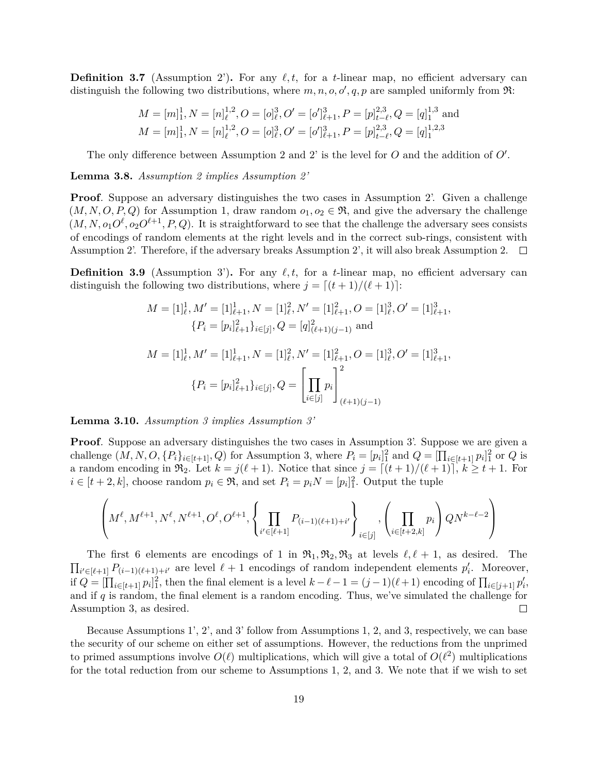**Definition 3.7** (Assumption 2'). For any  $\ell, t$ , for a *t*-linear map, no efficient adversary can distinguish the following two distributions, where  $m, n, o, o', q, p$  are sampled uniformly from  $\Re$ :

$$
M = [m]_1^1, N = [n]_\ell^{1,2}, O = [o]_\ell^3, O' = [o']_{\ell+1}^3, P = [p]_{t-\ell}^{2,3}, Q = [q]_1^{1,3} \text{ and}
$$

$$
M = [m]_1^1, N = [n]_\ell^{1,2}, O = [o]_\ell^3, O' = [o']_{\ell+1}^3, P = [p]_{t-\ell}^{2,3}, Q = [q]_1^{1,2,3}
$$

The only difference between Assumption 2 and 2' is the level for  $O$  and the addition of  $O'$ .

**Lemma 3.8.** *Assumption 2 implies Assumption 2'*

**Proof**. Suppose an adversary distinguishes the two cases in Assumption 2'. Given a challenge  $(M, N, O, P, Q)$  for Assumption 1, draw random  $o_1, o_2 \in \mathfrak{R}$ , and give the adversary the challenge  $(M, N, o_1O^\ell, o_2O^{\ell+1}, P, Q)$ . It is straightforward to see that the challenge the adversary sees consists of encodings of random elements at the right levels and in the correct sub-rings, consistent with Assumption 2'. Therefore, if the adversary breaks Assumption 2', it will also break Assumption 2.  $\Box$ 

**Definition 3.9** (Assumption 3'). For any  $\ell, t$ , for a *t*-linear map, no efficient adversary can distinguish the following two distributions, where  $j = \frac{(t+1)}{(\ell+1)}$ :

$$
M = [1]_{\ell}^1, M' = [1]_{\ell+1}^1, N = [1]_{\ell}^2, N' = [1]_{\ell+1}^2, O = [1]_{\ell}^3, O' = [1]_{\ell+1}^3,
$$
  

$$
\{P_i = [p_i]_{\ell+1}^2\}_{i \in [j]}, Q = [q]_{(\ell+1)(j-1)}^2 \text{ and }
$$

$$
M = [1]_{\ell}^{1}, M' = [1]_{\ell+1}^{1}, N = [1]_{\ell}^{2}, N' = [1]_{\ell+1}^{2}, O = [1]_{\ell}^{3}, O' = [1]_{\ell+1}^{3},
$$

$$
\{P_{i} = [p_{i}]_{\ell+1}^{2}\}_{i \in [j]}, Q = \left[\prod_{i \in [j]} p_{i}\right]_{(\ell+1)(j-1)}^{2}
$$

**Lemma 3.10.** *Assumption 3 implies Assumption 3'*

**Proof**. Suppose an adversary distinguishes the two cases in Assumption 3'. Suppose we are given a challenge  $(M, N, O, \{P_i\}_{i \in [t+1]}, Q)$  for Assumption 3, where  $P_i = [p_i]_1^2$  and  $Q = [\prod_{i \in [t+1]} p_i]_1^2$  or  $Q$  is a random encoding in  $\Re_2$ . Let  $k = j(\ell + 1)$ . Notice that since  $j = \lceil (t + 1)/(\ell + 1) \rceil, k \geq t + 1$ . For  $i \in [t+2, k]$ , choose random  $p_i \in \mathfrak{R}$ , and set  $P_i = p_i N = [p_i]_1^2$ . Output the tuple

$$
\left(M^{\ell}, M^{\ell+1}, N^{\ell}, N^{\ell+1}, O^{\ell}, O^{\ell+1}, \left\{\prod_{i' \in [\ell+1]} P_{(i-1)(\ell+1)+i'}\right\}_{i \in [j]}, \left(\prod_{i \in [t+2,k]} p_i\right) Q N^{k-\ell-2}\right)
$$

The first 6 elements are encodings of 1 in  $\mathfrak{R}_1, \mathfrak{R}_2, \mathfrak{R}_3$  at levels  $\ell, \ell + 1$ , as desired. The  $\prod_{i' \in [\ell+1]} P_{(i-1)(\ell+1)+i'}$  are level  $\ell+1$  encodings of random independent elements  $p'_i$ . Moreover, if  $Q = [\prod_{i \in [t+1]} p_i]_1^2$ , then the final element is a level  $k - \ell - 1 = (j-1)(\ell+1)$  encoding of  $\prod_{i \in [j+1]} p'_i$ , and if  $q$  is random, the final element is a random encoding. Thus, we've simulated the challenge for Assumption 3, as desired.  $\Box$ 

Because Assumptions 1', 2', and 3' follow from Assumptions 1, 2, and 3, respectively, we can base the security of our scheme on either set of assumptions. However, the reductions from the unprimed to primed assumptions involve  $O(\ell)$  multiplications, which will give a total of  $O(\ell^2)$  multiplications for the total reduction from our scheme to Assumptions 1, 2, and 3. We note that if we wish to set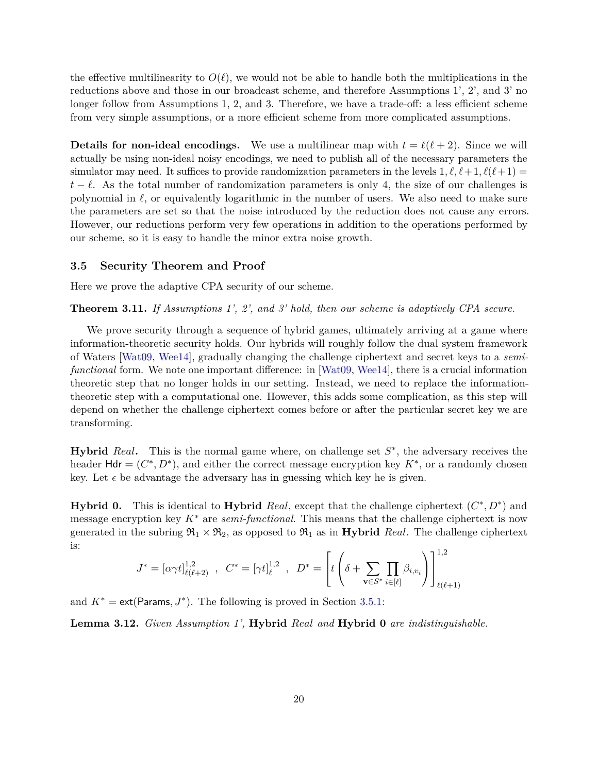the effective multilinearity to  $O(\ell)$ , we would not be able to handle both the multiplications in the reductions above and those in our broadcast scheme, and therefore Assumptions 1', 2', and 3' no longer follow from Assumptions 1, 2, and 3. Therefore, we have a trade-off: a less efficient scheme from very simple assumptions, or a more efficient scheme from more complicated assumptions.

**Details for non-ideal encodings.** We use a multilinear map with  $t = \ell(\ell+2)$ . Since we will actually be using non-ideal noisy encodings, we need to publish all of the necessary parameters the simulator may need. It suffices to provide randomization parameters in the levels  $1, \ell, \ell+1, \ell(\ell+1) =$  $t - \ell$ . As the total number of randomization parameters is only 4, the size of our challenges is polynomial in  $\ell$ , or equivalently logarithmic in the number of users. We also need to make sure the parameters are set so that the noise introduced by the reduction does not cause any errors. However, our reductions perform very few operations in addition to the operations performed by our scheme, so it is easy to handle the minor extra noise growth.

#### **3.5 Security Theorem and Proof**

<span id="page-19-0"></span>Here we prove the adaptive CPA security of our scheme.

#### **Theorem 3.11.** *If Assumptions 1', 2', and 3' hold, then our scheme is adaptively CPA secure.*

We prove security through a sequence of hybrid games, ultimately arriving at a game where information-theoretic security holds. Our hybrids will roughly follow the dual system framework of Waters [\[Wat09,](#page-39-4) [Wee14\]](#page-39-5), gradually changing the challenge ciphertext and secret keys to a *semifunctional* form. We note one important difference: in [\[Wat09,](#page-39-4) [Wee14\]](#page-39-5), there is a crucial information theoretic step that no longer holds in our setting. Instead, we need to replace the informationtheoretic step with a computational one. However, this adds some complication, as this step will depend on whether the challenge ciphertext comes before or after the particular secret key we are transforming.

**Hybrid** Real. This is the normal game where, on challenge set  $S^*$ , the adversary receives the header  $H$ dr =  $(C^*, D^*)$ , and either the correct message encryption key  $K^*$ , or a randomly chosen key. Let  $\epsilon$  be advantage the adversary has in guessing which key he is given.

**Hybrid 0.** This is identical to **Hybrid** *Real*, except that the challenge ciphertext  $(C^*, D^*)$  and message encryption key *K*<sup>∗</sup> are *semi-functional*. This means that the challenge ciphertext is now generated in the subring  $\mathfrak{R}_1 \times \mathfrak{R}_2$ , as opposed to  $\mathfrak{R}_1$  as in **Hybrid** *Real*. The challenge ciphertext is:

$$
J^* = [\alpha \gamma t]_{\ell(\ell+2)}^{1,2} , C^* = [\gamma t]_{\ell}^{1,2} , D^* = \left[ t \left( \delta + \sum_{\mathbf{v} \in S^*} \prod_{i \in [\ell]} \beta_{i,v_i} \right) \right]_{\ell(\ell+1)}^{1,2}
$$

and  $K^* = \text{ext}($ Params,  $J^*$ ). The following is proved in Section [3.5.1:](#page-21-0)

<span id="page-19-1"></span>**Lemma 3.12.** *Given Assumption 1',* **Hybrid** *Real and* **Hybrid 0** *are indistinguishable.*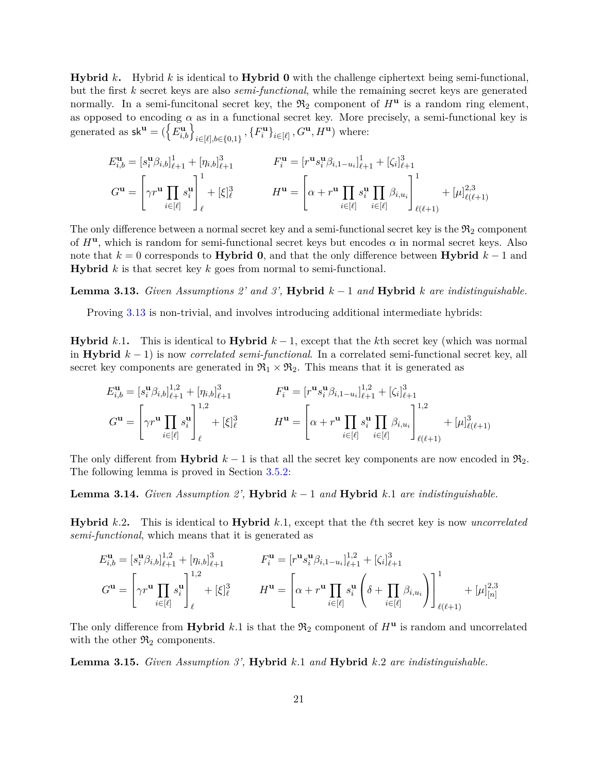**Hybrid** *k***.** Hybrid *k* is identical to **Hybrid 0** with the challenge ciphertext being semi-functional, but the first *k* secret keys are also *semi-functional*, while the remaining secret keys are generated normally. In a semi-funcitonal secret key, the  $\mathfrak{R}_2$  component of  $H^{\mathbf{u}}$  is a random ring element, as opposed to encoding  $\alpha$  as in a functional secret key. More precisely, a semi-functional key is generated as  $sk^{\mathbf{u}} = (\{E_{i,b}^{\mathbf{u}}\}_{i \in [\ell], b \in \{0,1\}}, \{F_i^{\mathbf{u}}\}_{i \in [\ell]}, G^{\mathbf{u}}, H^{\mathbf{u}})$  where:

$$
E_{i,b}^{\mathbf{u}} = [s_i^{\mathbf{u}} \beta_{i,b}]_{\ell+1}^1 + [\eta_{i,b}]_{\ell+1}^3 \qquad F_i^{\mathbf{u}} = [r^{\mathbf{u}} s_i^{\mathbf{u}} \beta_{i,1-u_i}]_{\ell+1}^1 + [\zeta_i]_{\ell+1}^3
$$
  

$$
G^{\mathbf{u}} = \left[ \gamma r^{\mathbf{u}} \prod_{i \in [\ell]} s_i^{\mathbf{u}} \right]_{\ell}^1 + [\xi]_{\ell}^3 \qquad H^{\mathbf{u}} = \left[ \alpha + r^{\mathbf{u}} \prod_{i \in [\ell]} s_i^{\mathbf{u}} \prod_{i \in [\ell]} \beta_{i,u_i} \right]_{\ell(\ell+1)}^1 + [\mu]_{\ell(\ell+1)}^{2,3}
$$

The only difference between a normal secret key and a semi-functional secret key is the  $\mathfrak{R}_2$  component of  $H^{\mathbf{u}}$ , which is random for semi-functional secret keys but encodes  $\alpha$  in normal secret keys. Also note that *k* = 0 corresponds to **Hybrid 0**, and that the only difference between **Hybrid** *k* − 1 and **Hybrid** *k* is that secret key *k* goes from normal to semi-functional.

<span id="page-20-0"></span>**Lemma 3.13.** *Given Assumptions 2' and 3'*, **Hybrid**  $k-1$  *and* **Hybrid**  $k$  *are indistinguishable.* 

Proving [3.13](#page-20-0) is non-trivial, and involves introducing additional intermediate hybrids:

**Hybrid**  $k.1$ . This is identical to **Hybrid**  $k-1$ , except that the  $k$ th secret key (which was normal in **Hybrid** *k* − 1) is now *correlated semi-functional*. In a correlated semi-functional secret key, all secret key components are generated in  $\mathfrak{R}_1 \times \mathfrak{R}_2$ . This means that it is generated as

$$
E_{i,b}^{\mathbf{u}} = [s_i^{\mathbf{u}} \beta_{i,b}]_{\ell+1}^{1,2} + [\eta_{i,b}]_{\ell+1}^3
$$
  
\n
$$
F_i^{\mathbf{u}} = [r^{\mathbf{u}} s_i^{\mathbf{u}} \beta_{i,1-u_i}]_{\ell+1}^{1,2} + [\zeta_i]_{\ell+1}^3
$$
  
\n
$$
G^{\mathbf{u}} = \left[\gamma r^{\mathbf{u}} \prod_{i \in [\ell]} s_i^{\mathbf{u}} \right]_{\ell}^{1,2} + [\xi]_{\ell}^3
$$
  
\n
$$
H^{\mathbf{u}} = \left[\alpha + r^{\mathbf{u}} \prod_{i \in [\ell]} s_i^{\mathbf{u}} \prod_{i \in [\ell]} \beta_{i,u_i} \right]_{\ell(\ell+1)}^{1,2} + [\mu]_{\ell(\ell+1)}^3
$$

The only different from **Hybrid**  $k-1$  is that all the secret key components are now encoded in  $\mathfrak{R}_2$ . The following lemma is proved in Section [3.5.2:](#page-22-0)

<span id="page-20-1"></span>**Lemma 3.14.** *Given Assumption 2',* **Hybrid** *k* − 1 *and* **Hybrid** *k.*1 *are indistinguishable.*

**Hybrid** *k.*2. This is identical to **Hybrid** *k.*1, except that the *l*th secret key is now *uncorrelated semi-functional*, which means that it is generated as

$$
E_{i,b}^{\mathbf{u}} = [s_i^{\mathbf{u}} \beta_{i,b}]_{\ell+1}^{1,2} + [\eta_{i,b}]_{\ell+1}^3
$$

$$
F_i^{\mathbf{u}} = [r^{\mathbf{u}} s_i^{\mathbf{u}} \beta_{i,1-u_i}]_{\ell+1}^{1,2} + [\zeta_i]_{\ell+1}^3
$$

$$
G^{\mathbf{u}} = \left[\gamma r^{\mathbf{u}} \prod_{i \in [\ell]} s_i^{\mathbf{u}} \right]_{\ell}^{1,2} + [\xi]_{\ell}^3
$$

$$
H^{\mathbf{u}} = \left[\alpha + r^{\mathbf{u}} \prod_{i \in [\ell]} s_i^{\mathbf{u}} \left(\delta + \prod_{i \in [\ell]} \beta_{i,u_i}\right)\right]_{\ell(\ell+1)}^{1} + [\mu]_{[n]}^{2,3}
$$

The only difference from **Hybrid**  $k.1$  is that the  $\mathfrak{R}_2$  component of  $H^{\mathbf{u}}$  is random and uncorrelated with the other  $\mathfrak{R}_2$  components.

<span id="page-20-2"></span>**Lemma 3.15.** *Given Assumption 3',* **Hybrid** *k.*1 *and* **Hybrid** *k.*2 *are indistinguishable.*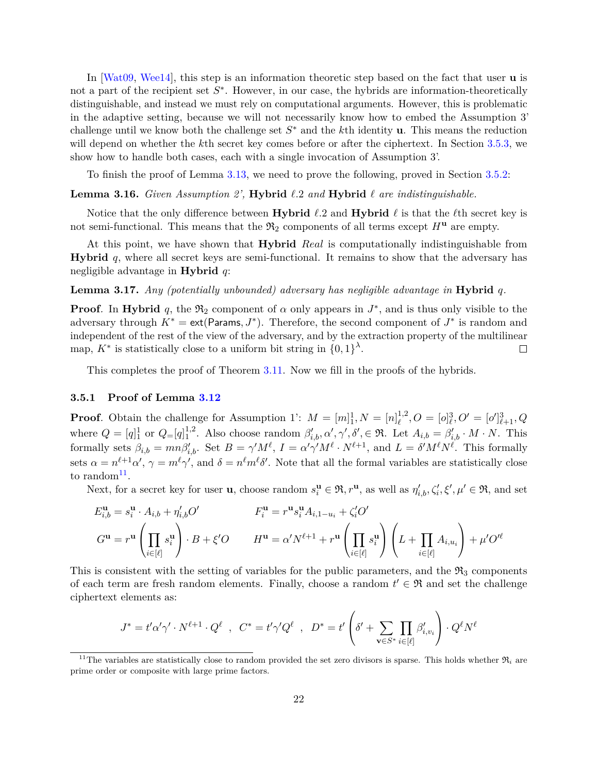In [\[Wat09,](#page-39-4) [Wee14\]](#page-39-5), this step is an information theoretic step based on the fact that user **u** is not a part of the recipient set *S* ∗ . However, in our case, the hybrids are information-theoretically distinguishable, and instead we must rely on computational arguments. However, this is problematic in the adaptive setting, because we will not necessarily know how to embed the Assumption 3' challenge until we know both the challenge set *S* <sup>∗</sup> and the *k*th identity **u**. This means the reduction will depend on whether the *k*th secret key comes before or after the ciphertext. In Section [3.5.3,](#page-22-1) we show how to handle both cases, each with a single invocation of Assumption 3'.

To finish the proof of Lemma [3.13,](#page-20-0) we need to prove the following, proved in Section [3.5.2:](#page-22-0)

#### <span id="page-21-2"></span>**Lemma 3.16.** *Given Assumption 2',* **Hybrid** *`.*2 *and* **Hybrid** *` are indistinguishable.*

Notice that the only difference between **Hybrid**  $\ell$ . 2 and **Hybrid**  $\ell$  is that the  $\ell$ th secret key is not semi-functional. This means that the  $\mathfrak{R}_2$  components of all terms except  $H^{\mathbf{u}}$  are empty.

At this point, we have shown that **Hybrid** *Real* is computationally indistinguishable from **Hybrid** *q*, where all secret keys are semi-functional. It remains to show that the adversary has negligible advantage in **Hybrid** *q*:

#### **Lemma 3.17.** *Any (potentially unbounded) adversary has negligible advantage in* **Hybrid** *q.*

**Proof**. In **Hybrid**  $q$ , the  $\mathfrak{R}_2$  component of  $\alpha$  only appears in  $J^*$ , and is thus only visible to the adversary through  $K^* = \text{ext}($ Params,  $J^*$ ). Therefore, the second component of  $J^*$  is random and independent of the rest of the view of the adversary, and by the extraction property of the multilinear map,  $K^*$  is statistically close to a uniform bit string in  $\{0,1\}^{\lambda}$ .  $\Box$ 

This completes the proof of Theorem [3.11.](#page-19-0) Now we fill in the proofs of the hybrids.

#### <span id="page-21-0"></span>**3.5.1 Proof of Lemma [3.12](#page-19-1)**

**Proof**. Obtain the challenge for Assumption 1':  $M = [m]_1^1, N = [n]_\ell^{1,2}$  $\mathcal{L}^{1,2}_{\ell}, O = [o]^3_{\ell}, O' = [o']^3_{\ell+1}, Q$ where  $Q = [q]_1^1$  or  $Q = [q]_1^{1,2}$ <sup>1,2</sup>. Also choose random  $\beta'_{i,b}, \alpha', \gamma', \delta', \in \mathfrak{R}$ . Let  $A_{i,b} = \beta'_{i,b} \cdot M \cdot N$ . This formally sets  $\beta_{i,b} = mn\beta'_{i,b}$ . Set  $B = \gamma'M^{\ell}, I = \alpha'\gamma'M^{\ell} \cdot N^{\ell+1}$ , and  $L = \delta'M^{\ell}N^{\ell}$ . This formally sets  $\alpha = n^{\ell+1} \alpha'$ ,  $\gamma = m^{\ell} \gamma'$ , and  $\delta = n^{\ell} m^{\ell} \delta'$ . Note that all the formal variables are statistically close to random<sup>[11](#page-21-1)</sup>.

Next, for a secret key for user **u**, choose random  $s_i^{\mathbf{u}} \in \mathfrak{R}, r^{\mathbf{u}}$ , as well as  $\eta'_{i,b}, \zeta'_i, \xi', \mu' \in \mathfrak{R}$ , and set

$$
E_{i,b}^{\mathbf{u}} = s_i^{\mathbf{u}} \cdot A_{i,b} + \eta'_{i,b} O' \qquad F_i^{\mathbf{u}} = r^{\mathbf{u}} s_i^{\mathbf{u}} A_{i,1-u_i} + \zeta'_i O'
$$
  

$$
G^{\mathbf{u}} = r^{\mathbf{u}} \left( \prod_{i \in [\ell]} s_i^{\mathbf{u}} \right) \cdot B + \xi' O \qquad H^{\mathbf{u}} = \alpha' N^{\ell+1} + r^{\mathbf{u}} \left( \prod_{i \in [\ell]} s_i^{\mathbf{u}} \right) \left( L + \prod_{i \in [\ell]} A_{i,u_i} \right) + \mu' O'^{\ell}
$$

This is consistent with the setting of variables for the public parameters, and the  $\mathfrak{R}_3$  components of each term are fresh random elements. Finally, choose a random  $t' \in \mathfrak{R}$  and set the challenge ciphertext elements as:

$$
J^* = t'\alpha'\gamma' \cdot N^{\ell+1} \cdot Q^\ell \ , \ C^* = t'\gamma'Q^\ell \ , \ D^* = t'\left(\delta' + \sum_{\mathbf{v}\in S^*}\prod_{i\in[\ell]}\beta'_{i,v_i}\right)\cdot Q^\ell N^\ell
$$

<span id="page-21-1"></span><sup>&</sup>lt;sup>11</sup>The variables are statistically close to random provided the set zero divisors is sparse. This holds whether  $\mathfrak{R}_i$  are prime order or composite with large prime factors.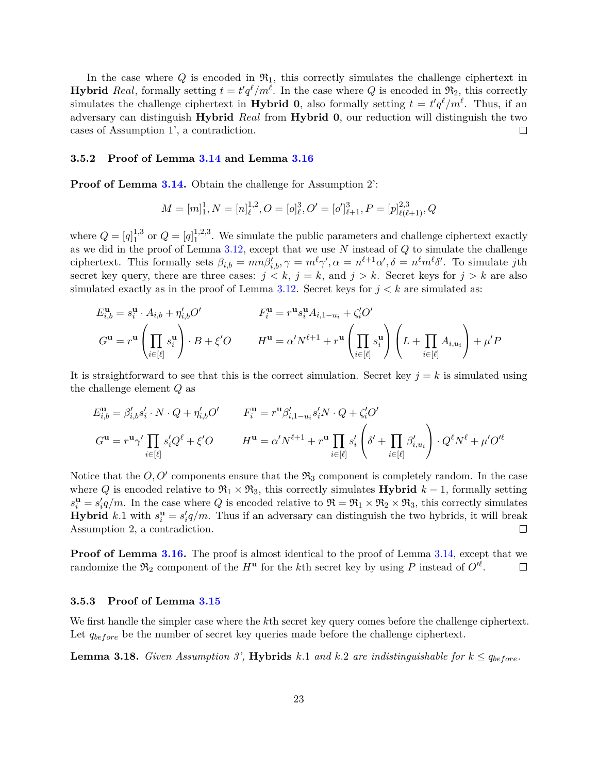In the case where  $Q$  is encoded in  $\mathfrak{R}_1$ , this correctly simulates the challenge ciphertext in **Hybrid** *Real*, formally setting  $t = t'q^{\ell}/m^{\ell}$ . In the case where *Q* is encoded in  $\mathfrak{R}_2$ , this correctly simulates the challenge ciphertext in **Hybrid 0**, also formally setting  $t = t'q^{\ell}/m^{\ell}$ . Thus, if an adversary can distinguish **Hybrid** *Real* from **Hybrid 0**, our reduction will distinguish the two cases of Assumption 1', a contradiction.  $\Box$ 

#### <span id="page-22-0"></span>**3.5.2 Proof of Lemma [3.14](#page-20-1) and Lemma [3.16](#page-21-2)**

**Proof of Lemma [3.14.](#page-20-1)** Obtain the challenge for Assumption 2.

$$
M = [m]_1^1, N = [n]_\ell^{1,2}, O = [o]_\ell^3, O' = [o']_{\ell+1}^3, P = [p]_{\ell(\ell+1)}^{2,3}, Q
$$

where  $Q = [q]_1^{1,3}$  $_1^{1,3}$  or  $Q = [q]_1^{1,2,3}$  $1,2,3$ . We simulate the public parameters and challenge ciphertext exactly as we did in the proof of Lemma [3.12,](#page-19-1) except that we use *N* instead of *Q* to simulate the challenge ciphertext. This formally sets  $\beta_{i,b} = mn\beta'_{i,b}$ ,  $\gamma = m^{\ell}\gamma'$ ,  $\alpha = n^{\ell+1}\alpha'$ ,  $\delta = n^{\ell}m^{\ell}\delta'$ . To simulate jth secret key query, there are three cases:  $j < k$ ,  $j = k$ , and  $j > k$ . Secret keys for  $j > k$  are also simulated exactly as in the proof of Lemma [3.12.](#page-19-1) Secret keys for  $j < k$  are simulated as:

$$
E_{i,b}^{\mathbf{u}} = s_i^{\mathbf{u}} \cdot A_{i,b} + \eta'_{i,b} O'
$$
  
\n
$$
F_i^{\mathbf{u}} = r^{\mathbf{u}} s_i^{\mathbf{u}} A_{i,1-u_i} + \zeta'_i O'
$$
  
\n
$$
G^{\mathbf{u}} = r^{\mathbf{u}} \left( \prod_{i \in [\ell]} s_i^{\mathbf{u}} \right) \cdot B + \xi' O
$$
  
\n
$$
H^{\mathbf{u}} = \alpha' N^{\ell+1} + r^{\mathbf{u}} \left( \prod_{i \in [\ell]} s_i^{\mathbf{u}} \right) \left( L + \prod_{i \in [\ell]} A_{i,u_i} \right) + \mu' P
$$

It is straightforward to see that this is the correct simulation. Secret key  $j = k$  is simulated using the challenge element *Q* as

$$
E_{i,b}^{\mathbf{u}} = \beta'_{i,b}s'_i \cdot N \cdot Q + \eta'_{i,b}O' \qquad F_i^{\mathbf{u}} = r^{\mathbf{u}}\beta'_{i,1-u_i}s'_iN \cdot Q + \zeta'_iO'
$$
  

$$
G^{\mathbf{u}} = r^{\mathbf{u}}\gamma' \prod_{i \in [\ell]} s'_iQ^{\ell} + \xi'O \qquad H^{\mathbf{u}} = \alpha'N^{\ell+1} + r^{\mathbf{u}} \prod_{i \in [\ell]} s'_i \left(\delta' + \prod_{i \in [\ell]} \beta'_{i,u_i}\right) \cdot Q^{\ell}N^{\ell} + \mu'O'^{\ell}
$$

Notice that the  $O, O'$  components ensure that the  $\mathfrak{R}_3$  component is completely random. In the case where *Q* is encoded relative to  $\mathfrak{R}_1 \times \mathfrak{R}_3$ , this correctly simulates **Hybrid**  $k-1$ , formally setting  $s_i^{\mathbf{u}} = s_i' q/m$ . In the case where *Q* is encoded relative to  $\Re = \Re_1 \times \Re_2 \times \Re_3$ , this correctly simulates **Hybrid** *k*.1 with  $s_i^{\mathbf{u}} = s_i' q/m$ . Thus if an adversary can distinguish the two hybrids, it will break Assumption 2, a contradiction.  $\Box$ 

**Proof of Lemma [3.16.](#page-21-2)** The proof is almost identical to the proof of Lemma [3.14,](#page-20-1) except that we randomize the  $\mathfrak{R}_2$  component of the  $H^{\mathbf{u}}$  for the *k*th secret key by using *P* instead of  $O^{\prime \ell}$ .  $\Box$ 

#### <span id="page-22-1"></span>**3.5.3 Proof of Lemma [3.15](#page-20-2)**

We first handle the simpler case where the *k*th secret key query comes before the challenge ciphertext. Let  $q_{before}$  be the number of secret key queries made before the challenge ciphertext.

<span id="page-22-2"></span>**Lemma 3.18.** *Given Assumption 3'*, **Hybrids**  $k.1$  *and*  $k.2$  *are indistinguishable for*  $k \leq q_{before}$ .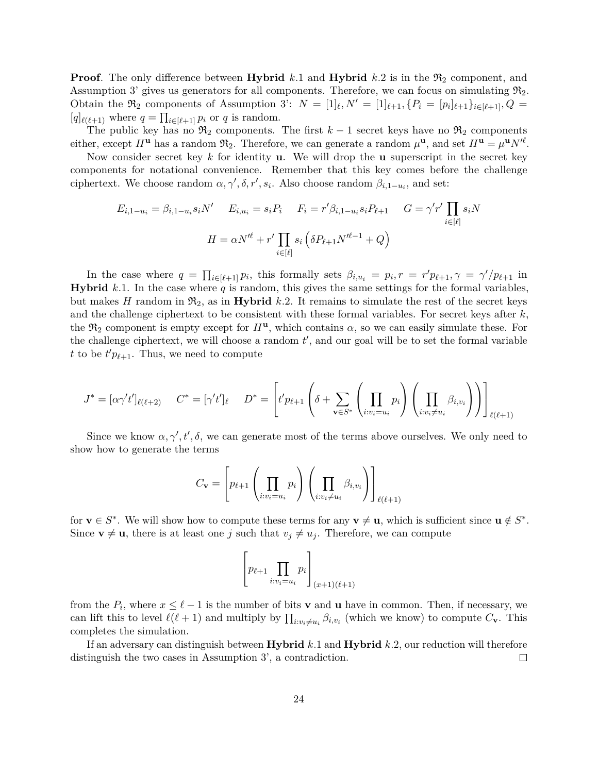**Proof**. The only difference between **Hybrid** *k.*1 and **Hybrid** *k.*2 is in the  $\mathfrak{R}_2$  component, and Assumption 3' gives us generators for all components. Therefore, we can focus on simulating  $\mathfrak{R}_2$ . Obtain the  $\mathfrak{R}_2$  components of Assumption 3':  $N = [1]_l, N' = [1]_{l+1}, \{P_i = [p_i]_{l+1}\}_{i \in [l+1]}, Q =$  $[q]_{\ell(\ell+1)}$  where  $q = \prod_{i \in [\ell+1]} p_i$  or  $q$  is random.

The public key has no  $\mathfrak{R}_2$  components. The first  $k-1$  secret keys have no  $\mathfrak{R}_2$  components either, except  $H^{\mathbf{u}}$  has a random  $\mathfrak{R}_2$ . Therefore, we can generate a random  $\mu^{\mathbf{u}}$ , and set  $H^{\mathbf{u}} = \mu^{\mathbf{u}} N'^{\ell}$ .

Now consider secret key *k* for identity **u**. We will drop the **u** superscript in the secret key components for notational convenience. Remember that this key comes before the challenge ciphertext. We choose random  $\alpha, \gamma', \delta, r', s_i$ . Also choose random  $\beta_{i,1-u_i}$ , and set:

$$
E_{i,1-u_i} = \beta_{i,1-u_i} s_i N' \qquad E_{i,u_i} = s_i P_i \qquad F_i = r' \beta_{i,1-u_i} s_i P_{\ell+1} \qquad G = \gamma' r' \prod_{i \in [\ell]} s_i N
$$

$$
H = \alpha N'^{\ell} + r' \prod_{i \in [\ell]} s_i \left( \delta P_{\ell+1} N'^{\ell-1} + Q \right)
$$

In the case where  $q = \prod_{i \in [\ell+1]} p_i$ , this formally sets  $\beta_{i,u_i} = p_i$ ,  $r = r'p_{\ell+1}, \gamma = \gamma'/p_{\ell+1}$  in **Hybrid**  $k.1$ . In the case where  $q$  is random, this gives the same settings for the formal variables, but makes *H* random in  $\mathfrak{R}_2$ , as in **Hybrid** *k.*2. It remains to simulate the rest of the secret keys and the challenge ciphertext to be consistent with these formal variables. For secret keys after *k*, the  $\mathfrak{R}_2$  component is empty except for  $H^{\mathbf{u}}$ , which contains  $\alpha$ , so we can easily simulate these. For the challenge ciphertext, we will choose a random  $t'$ , and our goal will be to set the formal variable *t* to be  $t' p_{\ell+1}$ . Thus, we need to compute

$$
J^* = [\alpha \gamma' t']_{\ell(\ell+2)} \qquad C^* = [\gamma' t']_{\ell} \qquad D^* = \left[ t' p_{\ell+1} \left( \delta + \sum_{\mathbf{v} \in S^*} \left( \prod_{i:v_i = u_i} p_i \right) \left( \prod_{i:v_i \neq u_i} \beta_{i,v_i} \right) \right) \right]_{\ell(\ell+1)}
$$

Since we know  $\alpha, \gamma', t', \delta$ , we can generate most of the terms above ourselves. We only need to show how to generate the terms

$$
C_{\mathbf{v}} = \left[ p_{\ell+1} \left( \prod_{i:v_i = u_i} p_i \right) \left( \prod_{i:v_i \neq u_i} \beta_{i,v_i} \right) \right]_{\ell(\ell+1)}
$$

for  $\mathbf{v} \in S^*$ . We will show how to compute these terms for any  $\mathbf{v} \neq \mathbf{u}$ , which is sufficient since  $\mathbf{u} \notin S^*$ . Since  $\mathbf{v} \neq \mathbf{u}$ , there is at least one *j* such that  $v_j \neq u_j$ . Therefore, we can compute

$$
\left[p_{\ell+1} \prod_{i:v_i=u_i} p_i\right]_{(x+1)(\ell+1)}
$$

from the  $P_i$ , where  $x \leq \ell - 1$  is the number of bits **v** and **u** have in common. Then, if necessary, we can lift this to level  $\ell(\ell+1)$  and multiply by  $\prod_{i:v_i\neq u_i}\beta_{i,v_i}$  (which we know) to compute  $C_{\mathbf{v}}$ . This completes the simulation.

If an adversary can distinguish between **Hybrid** *k.*1 and **Hybrid** *k.*2, our reduction will therefore distinguish the two cases in Assumption 3', a contradiction.  $\Box$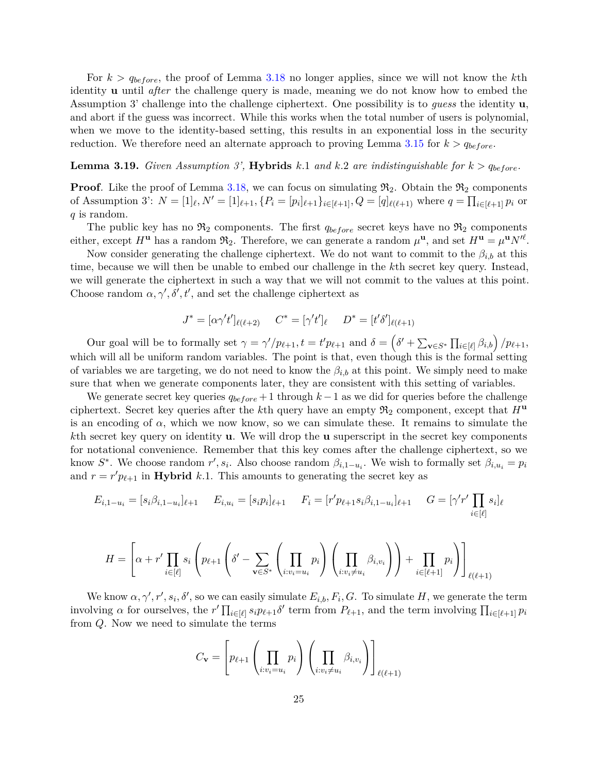For  $k > q_{before}$ , the proof of Lemma [3.18](#page-22-2) no longer applies, since we will not know the  $k$ <sup>th</sup> identity **u** until *after* the challenge query is made, meaning we do not know how to embed the Assumption 3' challenge into the challenge ciphertext. One possibility is to *guess* the identity **u**, and abort if the guess was incorrect. While this works when the total number of users is polynomial, when we move to the identity-based setting, this results in an exponential loss in the security reduction. We therefore need an alternate approach to proving Lemma [3.15](#page-20-2) for  $k > q_{before}$ .

#### **Lemma 3.19.** *Given Assumption 3'*, **Hybrids**  $k.1$  *and*  $k.2$  *are indistinguishable for*  $k > q_{before}$ .

**Proof**. Like the proof of Lemma [3.18,](#page-22-2) we can focus on simulating  $\mathfrak{R}_2$ . Obtain the  $\mathfrak{R}_2$  components of Assumption 3':  $N = [1]_{\ell}, N' = [1]_{\ell+1}, \{P_i = [p_i]_{\ell+1}\}_{i \in [\ell+1]}, Q = [q]_{\ell(\ell+1)}$  where  $q = \prod_{i \in [\ell+1]} p_i$  or *q* is random.

The public key has no  $\mathfrak{R}_2$  components. The first  $q_{before}$  secret keys have no  $\mathfrak{R}_2$  components either, except  $H^{\mathbf{u}}$  has a random  $\mathfrak{R}_2$ . Therefore, we can generate a random  $\mu^{\mathbf{u}}$ , and set  $H^{\mathbf{u}} = \mu^{\mathbf{u}} N^{\prime \ell}$ .

Now consider generating the challenge ciphertext. We do not want to commit to the  $\beta_{i,b}$  at this time, because we will then be unable to embed our challenge in the *k*th secret key query. Instead, we will generate the ciphertext in such a way that we will not commit to the values at this point. Choose random  $\alpha, \gamma', \delta', t'$ , and set the challenge ciphertext as

$$
J^* = [\alpha \gamma' t']_{\ell(\ell+2)} \quad C^* = [\gamma' t']_{\ell} \quad D^* = [t' \delta']_{\ell(\ell+1)}
$$

Our goal will be to formally set  $\gamma = \gamma'/p_{\ell+1}, t = t'p_{\ell+1}$  and  $\delta = (\delta' + \sum_{\mathbf{v} \in S^*} \prod_{i \in [\ell]} \beta_{i,b})/p_{\ell+1},$ which will all be uniform random variables. The point is that, even though this is the formal setting of variables we are targeting, we do not need to know the  $\beta_{i,b}$  at this point. We simply need to make sure that when we generate components later, they are consistent with this setting of variables.

We generate secret key queries  $q_{before} + 1$  through  $k - 1$  as we did for queries before the challenge ciphertext. Secret key queries after the *k*th query have an empty  $\mathfrak{R}_2$  component, except that  $H^{\mathbf{u}}$ is an encoding of  $\alpha$ , which we now know, so we can simulate these. It remains to simulate the *k*th secret key query on identity **u**. We will drop the **u** superscript in the secret key components for notational convenience. Remember that this key comes after the challenge ciphertext, so we know  $S^*$ . We choose random  $r'$ ,  $s_i$ . Also choose random  $\beta_{i,1-u_i}$ . We wish to formally set  $\beta_{i,u_i} = p_i$ and  $r = r' p_{\ell+1}$  in **Hybrid** *k.*1. This amounts to generating the secret key as

$$
E_{i,1-u_i} = [s_i \beta_{i,1-u_i}]_{\ell+1} \qquad E_{i,u_i} = [s_i p_i]_{\ell+1} \qquad F_i = [r' p_{\ell+1} s_i \beta_{i,1-u_i}]_{\ell+1} \qquad G = [\gamma' r' \prod_{i \in [\ell]} s_i]_{\ell}
$$

$$
H = \left[\alpha + r' \prod_{i \in [\ell]} s_i \left( p_{\ell+1} \left( \delta' - \sum_{\mathbf{v} \in S^*} \left( \prod_{i:v_i = u_i} p_i \right) \left( \prod_{i:v_i \neq u_i} \beta_{i,v_i} \right) \right) + \prod_{i \in [\ell+1]} p_i \right) \right]_{\ell(\ell+1)}
$$

We know  $\alpha, \gamma', r', s_i, \delta'$ , so we can easily simulate  $E_{i,b}, F_i, G$ . To simulate *H*, we generate the term involving  $\alpha$  for ourselves, the  $r' \prod_{i \in [\ell]} s_i p_{\ell+1} \delta'$  term from  $P_{\ell+1}$ , and the term involving  $\prod_{i \in [\ell+1]} p_i$ from *Q*. Now we need to simulate the terms

$$
C_{\mathbf{v}} = \left[ p_{\ell+1} \left( \prod_{i:v_i = u_i} p_i \right) \left( \prod_{i:v_i \neq u_i} \beta_{i,v_i} \right) \right]_{\ell(\ell+1)}
$$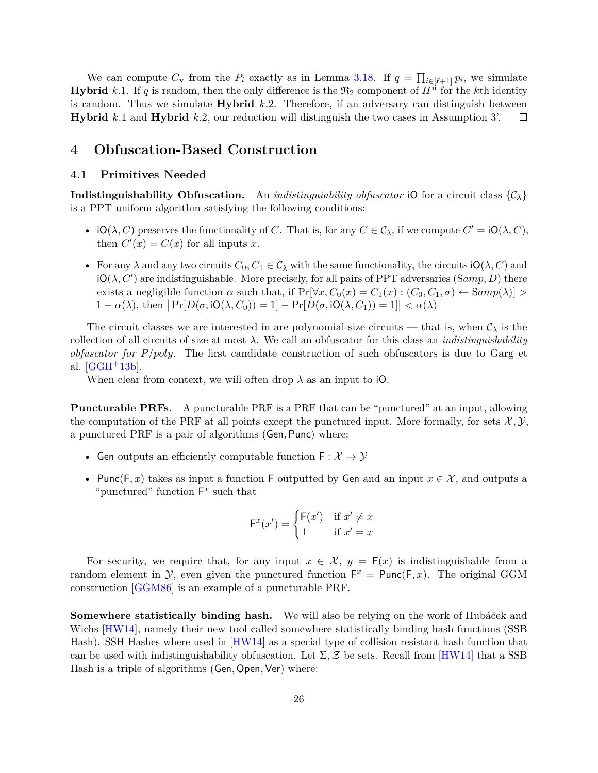We can compute  $C_{\mathbf{v}}$  from the  $P_i$  exactly as in Lemma [3.18.](#page-22-2) If  $q = \prod_{i \in [\ell+1]} p_i$ , we simulate **Hybrid** *k.*1. If *q* is random, then the only difference is the  $\mathfrak{R}_2$  component of  $H^{\mathbf{u}}$  for the *k*th identity is random. Thus we simulate **Hybrid** *k.*2. Therefore, if an adversary can distinguish between **Hybrid** *k.*1 and **Hybrid** *k.*2, our reduction will distinguish the two cases in Assumption 3'.  $\Box$ 

## **4 Obfuscation-Based Construction**

#### **4.1 Primitives Needed**

**Indistinguishability Obfuscation.** An *indistinguiability obfuscator* iO for a circuit class  $\{\mathcal{C}_\lambda\}$ is a PPT uniform algorithm satisfying the following conditions:

- iO( $\lambda$ , C) preserves the functionality of C. That is, for any  $C \in \mathcal{C}_{\lambda}$ , if we compute  $C' = iO(\lambda, C)$ , then  $C'(x) = C(x)$  for all inputs *x*.
- For any  $\lambda$  and any two circuits  $C_0, C_1 \in C_\lambda$  with the same functionality, the circuits  $\mathsf{IO}(\lambda, C)$  and  $iO(\lambda, C')$  are indistinguishable. More precisely, for all pairs of PPT adversaries (Samp, D) there exists a negligible function  $\alpha$  such that, if  $Pr[\forall x, C_0(x) = C_1(x) : (C_0, C_1, \sigma) \leftarrow \text{Samp}(\lambda)] >$ 1 –  $\alpha(\lambda)$ , then  $|\Pr[D(\sigma, iO(\lambda, C_0))] = 1] - \Pr[D(\sigma, iO(\lambda, C_1))] = 1] < \alpha(\lambda)$

The circuit classes we are interested in are polynomial-size circuits — that is, when  $\mathcal{C}_{\lambda}$  is the collection of all circuits of size at most *λ*. We call an obfuscator for this class an *indistinguishability obfuscator for P/poly*. The first candidate construction of such obfuscators is due to Garg et al. [\[GGH](#page-37-5)+13b].

When clear from context, we will often drop  $\lambda$  as an input to iO.

**Puncturable PRFs.** A puncturable PRF is a PRF that can be "punctured" at an input, allowing the computation of the PRF at all points except the punctured input. More formally, for sets  $\mathcal{X}, \mathcal{Y},$ a punctured PRF is a pair of algorithms (Gen*,* Punc) where:

- Gen outputs an efficiently computable function  $F: \mathcal{X} \to \mathcal{Y}$
- Punc(F, x) takes as input a function F outputted by Gen and an input  $x \in \mathcal{X}$ , and outputs a "punctured" function  $F^x$  such that

$$
\mathsf{F}^x(x') = \begin{cases} \mathsf{F}(x') & \text{if } x' \neq x \\ \bot & \text{if } x' = x \end{cases}
$$

For security, we require that, for any input  $x \in \mathcal{X}$ ,  $y = F(x)$  is indistinguishable from a random element in  $\mathcal{Y}$ , even given the punctured function  $F^x = \text{Punc}(F, x)$ . The original GGM construction [\[GGM86\]](#page-38-9) is an example of a puncturable PRF.

**Somewhere statistically binding hash.** We will also be relying on the work of Hubáček and Wichs [\[HW14\]](#page-38-4), namely their new tool called somewhere statistically binding hash functions (SSB) Hash). SSH Hashes where used in [\[HW14\]](#page-38-4) as a special type of collision resistant hash function that can be used with indistinguishability obfuscation. Let  $\Sigma$ , Z be sets. Recall from [\[HW14\]](#page-38-4) that a SSB Hash is a triple of algorithms (Gen*,* Open*,* Ver) where: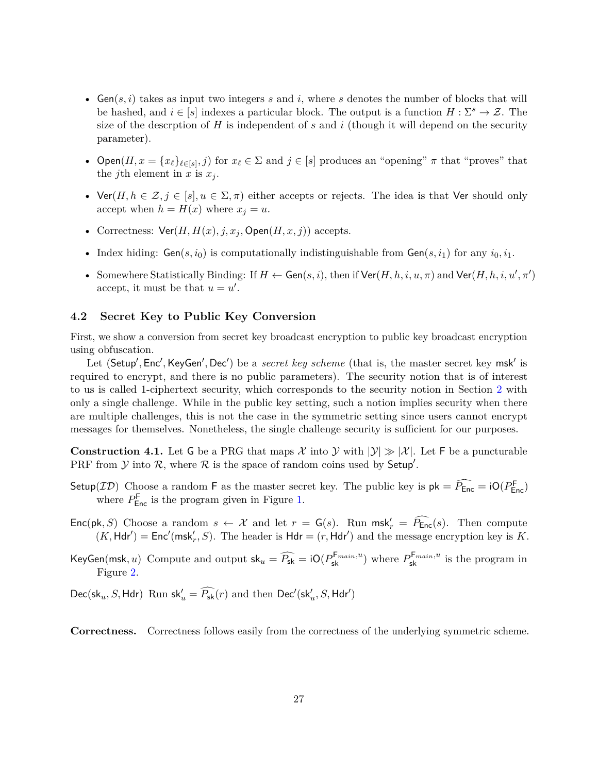- Gen( $s, i$ ) takes as input two integers  $s$  and  $i$ , where  $s$  denotes the number of blocks that will be hashed, and  $i \in [s]$  indexes a particular block. The output is a function  $H : \Sigma^s \to \mathcal{Z}$ . The size of the descrption of  $H$  is independent of  $s$  and  $i$  (though it will depend on the security parameter).
- Open $(H, x = \{x_\ell\}_{\ell \in [s]}, j)$  for  $x_\ell \in \Sigma$  and  $j \in [s]$  produces an "opening"  $\pi$  that "proves" that the *j*th element in *x* is  $x_j$ .
- Ver( $H, h \in \mathcal{Z}, j \in [s], u \in \Sigma, \pi$ ) either accepts or rejects. The idea is that Ver should only accept when  $h = H(x)$  where  $x_j = u$ .
- Correctness:  $\text{Ver}(H, H(x), j, x_j, \text{Open}(H, x, j))$  accepts.
- Index hiding:  $Gen(s, i_0)$  is computationally indistinguishable from  $Gen(s, i_1)$  for any  $i_0, i_1$ .
- Somewhere Statistically Binding: If  $H \leftarrow$  Gen $(s, i)$ , then if  $\text{Ver}(H, h, i, u, \pi)$  and  $\text{Ver}(H, h, i, u', \pi')$ accept, it must be that  $u = u'$ .

## **4.2 Secret Key to Public Key Conversion**

First, we show a conversion from secret key broadcast encryption to public key broadcast encryption using obfuscation.

Let (Setup', Enc', KeyGen', Dec') be a *secret key scheme* (that is, the master secret key msk' is required to encrypt, and there is no public parameters). The security notion that is of interest to us is called 1-ciphertext security, which corresponds to the security notion in Section [2](#page-10-0) with only a single challenge. While in the public key setting, such a notion implies security when there are multiple challenges, this is not the case in the symmetric setting since users cannot encrypt messages for themselves. Nonetheless, the single challenge security is sufficient for our purposes.

<span id="page-26-0"></span>**Construction 4.1.** Let G be a PRG that maps  $\mathcal{X}$  into  $\mathcal{Y}$  with  $|\mathcal{Y}| \gg |\mathcal{X}|$ . Let F be a puncturable PRF from  $\mathcal Y$  into  $\mathcal R$ , where  $\mathcal R$  is the space of random coins used by Setup'.

- Setup(*ID*) Choose a random F as the master secret key. The public key is  $pk = \widehat{P_{Enc}} = iO(P_{Enc}^F)$ where  $P_{\text{Enc}}^{\text{F}}$  is the program given in Figure [1.](#page-27-0)
- $Enc(\mathsf{pk}, S)$  Choose a random  $s \leftarrow \mathcal{X}$  and let  $r = G(s)$ . Run  $\mathsf{msk}'_r = \widehat{P_{Enc}}(s)$ . Then compute  $(K, \text{Hdr'}) = \text{Enc'}(\text{msk}'_r, S)$ . The header is  $\text{Hdr} = (r, \text{Hdr}')$  and the message encryption key is *K*.

KeyGen(msk, *u*) Compute and output  $sk_u = \widehat{P_{sk}} = iO(P_{sk}^{F_{main},u})$  where  $P_{sk}^{F_{main},u}$  is the program in Figure [2.](#page-27-1)

 $Dec(\textsf{sk}_u, S, \textsf{Hdr})$  Run  $\textsf{sk}'_u = \widehat{P_{\textsf{sk}}}(r)$  and then  $Dec'(\textsf{sk}'_u, S, \textsf{Hdr}')$ 

**Correctness.** Correctness follows easily from the correctness of the underlying symmetric scheme.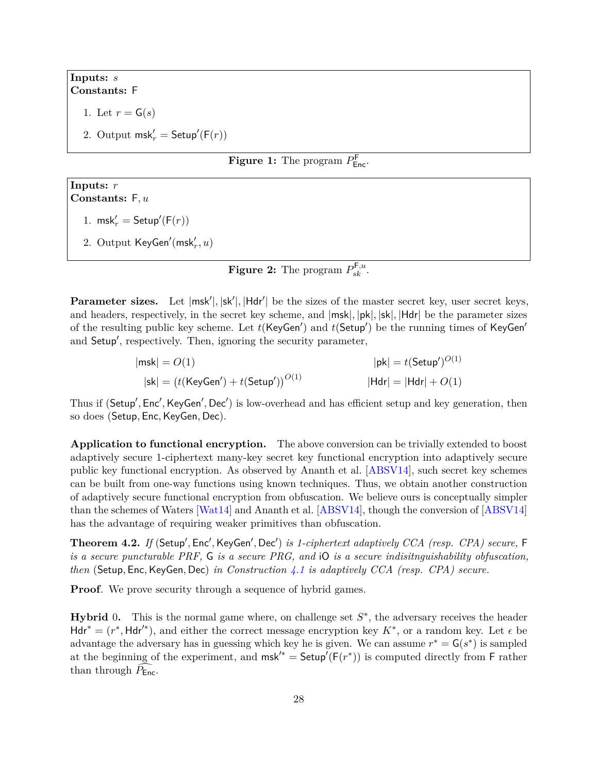## <span id="page-27-0"></span>**Inputs:** *s* **Constants:** F

- 1. Let  $r = G(s)$
- 2. Output  $\textsf{msk}'_r = \textsf{Setup}'(\mathsf{F}(r))$

# **Figure 1:** The program  $P_{Enc}^{\mathsf{F}}$ .

## <span id="page-27-1"></span>**Inputs:** *r* **Constants:** F*, u*

- 1.  $\textsf{msk}'_r = \textsf{Setup}'(\textsf{F}(r))$
- 2. Output KeyGen'(msk'<sub>r</sub>, u)

**Figure 2:** The program  $P_{sk}^{\mathsf{F},u}$ .

**Parameter sizes.** Let  $|msk'|$ ,  $|sk'|$ ,  $|Hdr'|$  be the sizes of the master secret key, user secret keys, and headers, respectively, in the secret key scheme, and  $|msk|, |pk|, |sk|, |Hdr|$  be the parameter sizes of the resulting public key scheme. Let  $t$ (KeyGen<sup>'</sup>) and  $t$ (Setup<sup>'</sup>) be the running times of KeyGen<sup>'</sup> and Setup', respectively. Then, ignoring the security parameter,

$$
|\mathsf{msk}| = O(1) \qquad |\mathsf{pk}| = t(\mathsf{Setup}')^{O(1)}
$$

$$
|\mathsf{sk}| = (t(\mathsf{KeyGen}') + t(\mathsf{Setup}'))^{O(1)} \qquad |\mathsf{Hdr}| = |\mathsf{Hdr}| + O(1)
$$

Thus if (Setup', Enc', KeyGen', Dec') is low-overhead and has efficient setup and key generation, then so does (Setup*,* Enc*,*KeyGen*,* Dec).

**Application to functional encryption.** The above conversion can be trivially extended to boost adaptively secure 1-ciphertext many-key secret key functional encryption into adaptively secure public key functional encryption. As observed by Ananth et al. [\[ABSV14\]](#page-35-1), such secret key schemes can be built from one-way functions using known techniques. Thus, we obtain another construction of adaptively secure functional encryption from obfuscation. We believe ours is conceptually simpler than the schemes of Waters [\[Wat14\]](#page-39-3) and Ananth et al. [\[ABSV14\]](#page-35-1), though the conversion of [\[ABSV14\]](#page-35-1) has the advantage of requiring weaker primitives than obfuscation.

**Theorem 4.2.** *If* (Setup', Enc', KeyGen', Dec') *is 1-ciphertext adaptively CCA (resp. CPA) secure*, F *is a secure puncturable PRF,* G *is a secure PRG, and* iO *is a secure indisitnguishability obfuscation, then* (Setup*,* Enc*,*KeyGen*,* Dec) *in Construction [4.1](#page-26-0) is adaptively CCA (resp. CPA) secure.*

**Proof***.* We prove security through a sequence of hybrid games.

**Hybrid** 0. This is the normal game where, on challenge set  $S^*$ , the adversary receives the header  $\mathsf{H} \mathsf{d} \mathsf{r}^* = (r^*, \mathsf{H} \mathsf{d} \mathsf{r}'^*)$ , and either the correct message encryption key  $K^*$ , or a random key. Let  $\epsilon$  be advantage the adversary has in guessing which key he is given. We can assume  $r^* = G(s^*)$  is sampled at the beginning of the experiment, and  $msk' = Setup'(F(r^*))$  is computed directly from F rather than through  $P_{\text{Enc}}$ .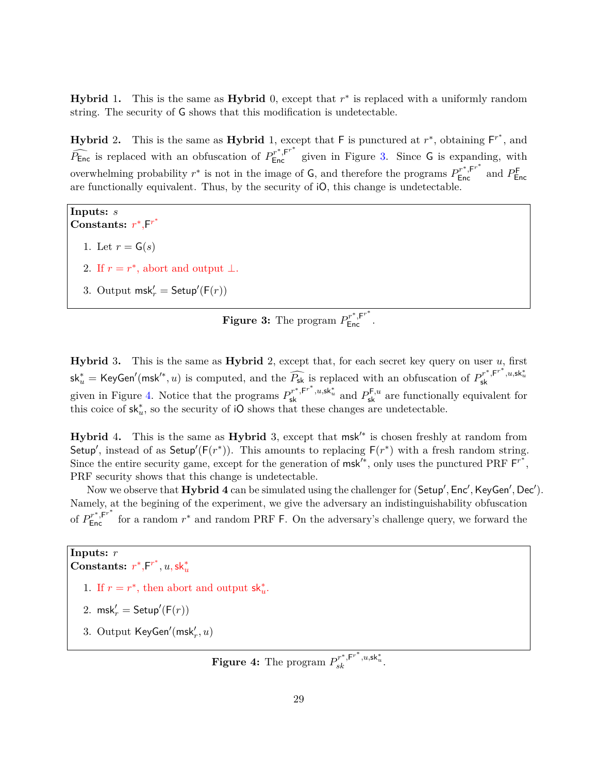**Hybrid** 1. This is the same as **Hybrid** 0, except that  $r^*$  is replaced with a uniformly random string. The security of G shows that this modification is undetectable.

**Hybrid** 2. This is the same as **Hybrid** 1, except that  $\mathsf{F}$  is punctured at  $r^*$ , obtaining  $\mathsf{F}^{r^*}$ , and  $\overrightarrow{P_{\text{Enc}}}$  is replaced with an obfuscation of  $P_{\text{Enc}}^{r^*,F^{r^*}}$  given in Figure [3.](#page-28-0) Since G is expanding, with overwhelming probability  $r^*$  is not in the image of G, and therefore the programs  $P_{\text{Enc}}^{r^*,F^{r^*}}$  and  $P_{\text{Enc}}^F$ are functionally equivalent. Thus, by the security of iO, this change is undetectable.

<span id="page-28-0"></span>**Inputs:** *s* **Constants:** *r* ∗ *,*F *r* ∗ 1. Let  $r = G(s)$ 2. If  $r = r^*$ , abort and output  $\perp$ . 3. Output  $\textsf{msk}'_r = \textsf{Setup}'(\mathsf{F}(r))$ 



**Hybrid** 3. This is the same as **Hybrid** 2, except that, for each secret key query on user  $u$ , first  $sk_u^* = \text{KeyGen'}(\text{msk'}^*, u)$  is computed, and the  $\widehat{P_{sk}}$  is replaced with an obfuscation of  $P_{sk}^{r^*, F^{r^*, u, sk_u^*}}$ given in Figure [4.](#page-28-1) Notice that the programs  $P_{\rm sk}^{r^*,F^{r^*,u,\rm sk_u^*}}$  and  $P_{\rm sk}^{\mathsf{F},u}$  are functionally equivalent for this coice of  $sk_u^*$ , so the security of iO shows that these changes are undetectable.

**Hybrid** 4. This is the same as **Hybrid** 3, except that  $msk^*$  is chosen freshly at random from Setup', instead of as Setup'( $F(r^*)$ ). This amounts to replacing  $F(r^*)$  with a fresh random string. Since the entire security game, except for the generation of  $msk^*$ , only uses the punctured PRF  $F^{*}$ , PRF security shows that this change is undetectable.

Now we observe that **Hybrid 4** can be simulated using the challenger for (Setup', Enc', KeyGen', Dec'). Namely, at the begining of the experiment, we give the adversary an indistinguishability obfuscation of  $P_{\text{Enc}}^{r^*,F^{r^*}}$  for a random  $r^*$  and random PRF F. On the adversary's challenge query, we forward the

# <span id="page-28-1"></span>**Inputs:** *r*  $\overline{\text{Constants:}}\ r^*,\text{F}^{r^*},u,\textsf{sk}_u^*$ 1. If  $r = r^*$ , then abort and output  $sk_u^*$ . 2.  $\textsf{msk}'_r = \textsf{Setup}'(\textsf{F}(r))$

3. Output KeyGen'(msk'<sub>r</sub>, u)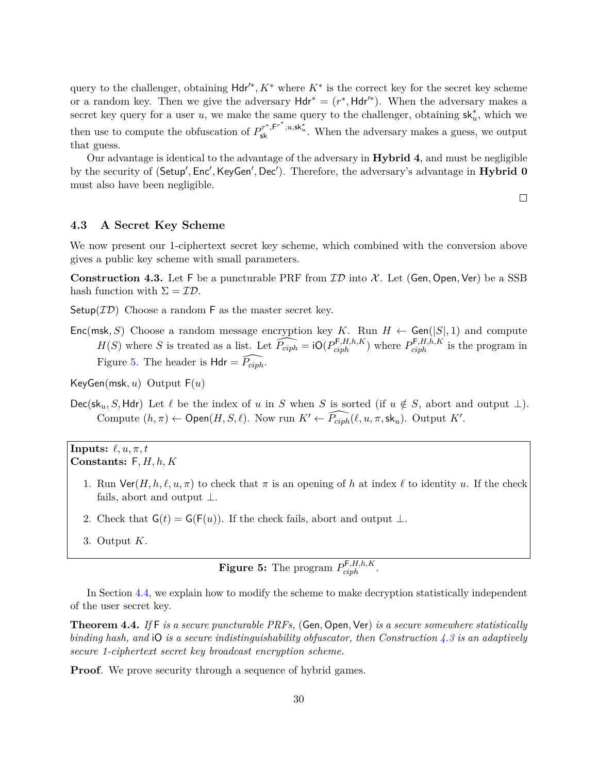query to the challenger, obtaining Hdr<sup>'\*</sup>, K<sup>\*</sup> where  $K^*$  is the correct key for the secret key scheme or a random key. Then we give the adversary  $Hdr^* = (r^*, Hdr'^*)$ . When the adversary makes a secret key query for a user *u*, we make the same query to the challenger, obtaining  $sk_u^*$ , which we then use to compute the obfuscation of  $P_{\mathsf{sk}}^{r^*,F^{r^*},u,\mathsf{sk}^*_{u}}$ . When the adversary makes a guess, we output that guess.

Our advantage is identical to the advantage of the adversary in **Hybrid 4**, and must be negligible by the security of (Setup', Enc', KeyGen', Dec'). Therefore, the adversary's advantage in **Hybrid 0** must also have been negligible.

 $\Box$ 

## **4.3 A Secret Key Scheme**

We now present our 1-ciphertext secret key scheme, which combined with the conversion above gives a public key scheme with small parameters.

<span id="page-29-1"></span>**Construction 4.3.** Let F be a puncturable PRF from  $\mathcal{ID}$  into  $\mathcal{X}$ . Let (Gen, Open, Ver) be a SSB hash function with  $\Sigma = \mathcal{ID}$ .

Setup( $ID$ ) Choose a random F as the master secret key.

- Enc(msk, S) Choose a random message encryption key K. Run  $H \leftarrow$  Gen( $|S|$ , 1) and compute  $H(S)$  where *S* is treated as a list. Let  $\widehat{P_{ciph}} = iO(P_{ciph}^{F,H,h,K})$  where  $P_{ciph}^{F,H,h,K}$  is the program in Figure [5.](#page-29-0) The header is  $Hdr = \overline{P_{ciph}}$ .
- KeyGen(msk*, u*) Output F(*u*)
- Dec(sk<sub>u</sub>, S, Hdr) Let  $\ell$  be the index of *u* in *S* when *S* is sorted (if  $u \notin S$ , abort and output  $\bot$ ). Compute  $(h, \pi) \leftarrow \mathsf{Open}(H, S, \ell)$ . Now run  $K' \leftarrow \widehat{P_{ciph}}(\ell, u, \pi, \mathsf{sk}_u)$ . Output  $K'$ .

<span id="page-29-0"></span>**Inputs:**  $\ell, u, \pi, t$ **Constants:** F*, H, h, K*

- 1. Run  $\text{Ver}(H, h, \ell, u, \pi)$  to check that  $\pi$  is an opening of h at index  $\ell$  to identity *u*. If the check fails, abort and output  $\perp$ .
- 2. Check that  $G(t) = G(F(u))$ . If the check fails, abort and output  $\perp$ .
- 3. Output *K*.

**Figure 5:** The program  $P_{ciph}^{\mathsf{F},H,h,K}$ .

In Section [4.4,](#page-33-0) we explain how to modify the scheme to make decryption statistically independent of the user secret key.

**Theorem 4.4.** *If* F *is a secure puncturable PRFs,* (Gen*,* Open*,* Ver) *is a secure somewhere statistically binding hash, and* iO *is a secure indistinguishability obfuscator, then Construction [4.3](#page-29-1) is an adaptively secure 1-ciphertext secret key broadcast encryption scheme.*

**Proof***.* We prove security through a sequence of hybrid games.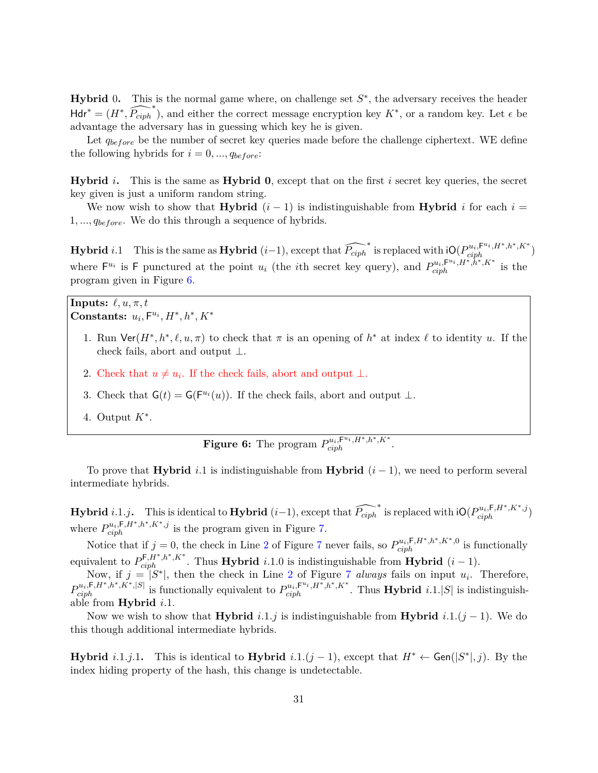**Hybrid** 0. This is the normal game where, on challenge set  $S^*$ , the adversary receives the header  $Hdr^* = (H^*, \widehat{P_{ciph}}^*)$ , and either the correct message encryption key  $K^*$ , or a random key. Let  $\epsilon$  be advantage the adversary has in guessing which key he is given.

Let  $q_{before}$  be the number of secret key queries made before the challenge ciphertext. WE define the following hybrids for  $i = 0, ..., q_{before}$ :

**Hybrid** *i***.** This is the same as **Hybrid 0**, except that on the first *i* secret key queries, the secret key given is just a uniform random string.

We now wish to show that **Hybrid**  $(i - 1)$  is indistinguishable from **Hybrid** *i* for each  $i =$ 1*, ..., qbef ore*. We do this through a sequence of hybrids.

 $\textbf{Hybrid } i.1 \quad \text{This is the same as }\n \textbf{Hybrid } (i-1), \text{ except that } \widehat{P_{ciph}}^* \text{ is replaced with iO}(P_{ciph}^{u_i, F^{u_i}, H^*, h^*, K^*})$ where  $F^{u_i}$  is F punctured at the point  $u_i$  (the *i*th secret key query), and  $P_{ciph}^{u_i, F^{u_i}, H^*, \dot{h}^*, K^*}$  is the program given in Figure [6.](#page-30-0)

<span id="page-30-0"></span>**Inputs:**  $\ell, u, \pi, t$ Constants:  $u_i$ ,  $F^{u_i}$ ,  $H^*$ ,  $h^*$ ,  $K^*$ 

- 1. Run  $\text{Ver}(H^*, h^*, \ell, u, \pi)$  to check that  $\pi$  is an opening of  $h^*$  at index  $\ell$  to identity  $u$ . If the check fails, abort and output  $\perp$ .
- 2. Check that  $u \neq u_i$ . If the check fails, abort and output  $\perp$ .
- 3. Check that  $G(t) = G(F^{u_i}(u))$ . If the check fails, abort and output  $\perp$ .
- 4. Output *K*<sup>∗</sup> .

**Figure 6:** The program  $P_{ciph}^{u_i, F^{u_i}, H^*, h^*, K^*}$ .

To prove that **Hybrid** *i.*1 is indistinguishable from **Hybrid**  $(i - 1)$ , we need to perform several intermediate hybrids.

 $\textbf{Hybrid } i.1.j.$  This is identical to  $\textbf{Hybrid } (i-1)$ , except that  $\widehat{P_{ciph}}^*$  is replaced with  $\textsf{id}(P_{ciph}^{u_i, \textsf{F}, H^*, K^*, j})$ where  $P_{ciph}^{u_i, \mathsf{F}, H^*, h^*, K^*, j}$  is the program given in Figure [7.](#page-31-0)

Notice that if  $j = 0$ , the check in Line [2](#page-31-1) of Figure [7](#page-31-0) never fails, so  $P_{ciph}^{u_i, \mathsf{F}, H^*, h^*, K^*, 0}$  is functionally equivalent to  $P_{ciph}^{\mathsf{F},H^*,h^*,K^*}$ . Thus **Hybrid** *i.*1.0 is indistinguishable from **Hybrid**  $(i-1)$ .

Now, if  $j = |S^*|$ , then the check in Line [2](#page-31-1) of Figure [7](#page-31-0) *always* fails on input  $u_i$ . Therefore,  $P_{ciph}^{u_i, \mathsf{F}, H^*, h^*, K^*, |S|}$  is functionally equivalent to  $P_{ciph}^{u_i, \mathsf{F}^{u_i}, H^*, h^*, K^*}$ . Thus **Hybrid** i.1.  $|S|$  is indistinguishable from **Hybrid** *i.*1.

Now we wish to show that **Hybrid** *i.*1*.j* is indistinguishable from **Hybrid** *i.*1*.*(*j* − 1). We do this though additional intermediate hybrids.

**Hybrid** *i.*1*.j.*1. This is identical to **Hybrid** *i.*1*.*(*j* − 1), except that  $H^* \leftarrow$  Gen( $|S^*|$ *,j*). By the index hiding property of the hash, this change is undetectable.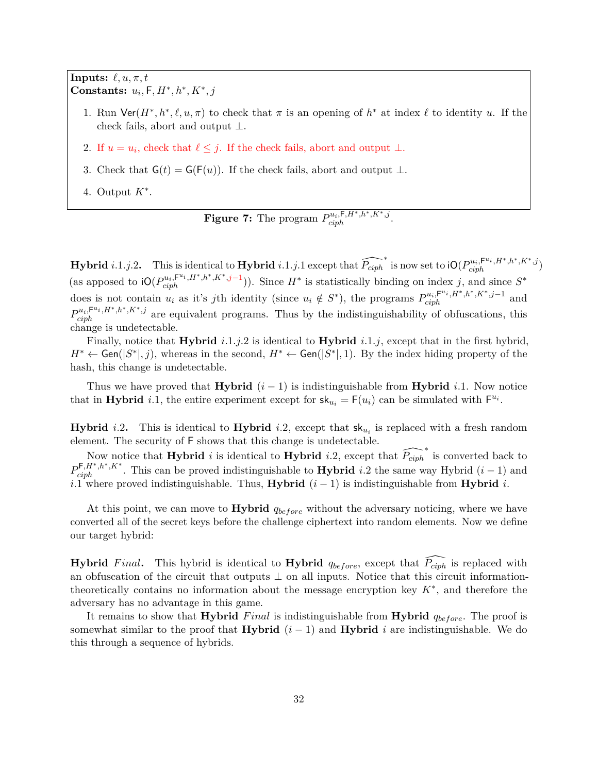<span id="page-31-0"></span>**Inputs:**  $\ell, u, \pi, t$ Constants:  $u_i$ , F,  $H^*, h^*, K^*, j$ 

- 1. Run  $\text{Ver}(H^*, h^*, \ell, u, \pi)$  to check that  $\pi$  is an opening of  $h^*$  at index  $\ell$  to identity *u*. If the check fails, abort and output ⊥.
- <span id="page-31-1"></span>2. If  $u = u_i$ , check that  $\ell \leq j$ . If the check fails, abort and output  $\perp$ .
- 3. Check that  $G(t) = G(F(u))$ . If the check fails, abort and output  $\perp$ .
- 4. Output *K*<sup>∗</sup> .

**Figure 7:** The program 
$$
P_{ciph}^{u_i, \mathsf{F}, H^*, h^*, K^*, j}
$$
.

**Hybrid** i.1.j.2. This is identical to **Hybrid** i.1.j.1 except that  $\widehat{P_{ciph}}^*$  is now set to  $\mathrm{iO}(P_{ciph}^{u_i,F^{u_i},H^*,h^*,K^*,j})$ (as apposed to  $iO(P_{ciph}^{u_i, F^{u_i}, H^*, h^*, K^*, j-1})$ ). Since  $H^*$  is statistically binding on index *j*, and since  $S^*$ does is not contain  $u_i$  as it's jth identity (since  $u_i \notin S^*$ ), the programs  $P_{ciph}^{u_i, F^{u_i}, H^*, h^*, K^*, j-1}$  and  $P_{ciph}^{u_i, F^{u_i}, H^*, h^*, K^*, j}$  are equivalent programs. Thus by the indistinguishability of obfuscations, this change is undetectable.

Finally, notice that **Hybrid** *i.*1*.j.*2 is identical to **Hybrid** *i.*1*.j*, except that in the first hybrid, *H*<sup>∗</sup> ← Gen( $|S^*|$ , *j*), whereas in the second,  $H^*$  ← Gen( $|S^*|$ , 1). By the index hiding property of the hash, this change is undetectable.

Thus we have proved that **Hybrid**  $(i-1)$  is indistinguishable from **Hybrid** *i.*1. Now notice that in **Hybrid** *i.*1, the entire experiment except for  $\mathsf{sk}_{u_i} = \mathsf{F}(u_i)$  can be simulated with  $\mathsf{F}^{u_i}$ .

**Hybrid** *i.*2. This is identical to **Hybrid** *i.*2, except that  $sk_{u_i}$  is replaced with a fresh random element. The security of F shows that this change is undetectable.

Now notice that **Hybrid** *i* is identical to **Hybrid** *i.*2, except that  $\widehat{P_{ciph}}^*$  is converted back to  $P_{ciph}^{F,H^*,h^*,K^*}$ . This can be proved indistinguishable to **Hybrid** *i.*2 the same way Hybrid (*i* − 1) and *i.*1 where proved indistinguishable. Thus, **Hybrid**  $(i - 1)$  is indistinguishable from **Hybrid** *i*.

At this point, we can move to **Hybrid**  $q_{before}$  without the adversary noticing, where we have converted all of the secret keys before the challenge ciphertext into random elements. Now we define our target hybrid:

**Hybrid** *Final***.** This hybrid is identical to **Hybrid**  $q_{before}$ , except that  $\widehat{P_{ciph}}$  is replaced with an obfuscation of the circuit that outputs ⊥ on all inputs. Notice that this circuit informationtheoretically contains no information about the message encryption key *K*<sup>∗</sup> , and therefore the adversary has no advantage in this game.

It remains to show that **Hybrid** *Final* is indistinguishable from **Hybrid**  $q_{before}$ . The proof is somewhat similar to the proof that **Hybrid**  $(i - 1)$  and **Hybrid** *i* are indistinguishable. We do this through a sequence of hybrids.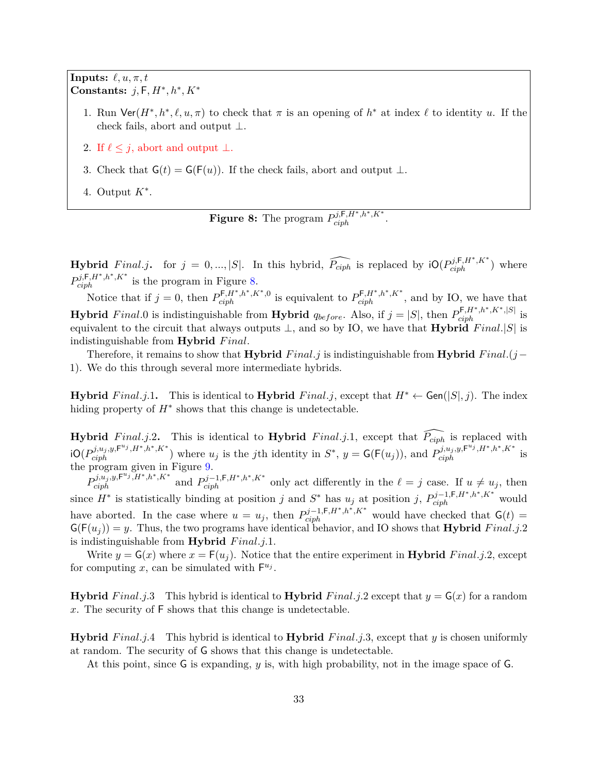<span id="page-32-0"></span>**Inputs:**  $\ell, u, \pi, t$ **Constants:** *j,* F*, H*<sup>∗</sup> *, h*<sup>∗</sup> *, K*<sup>∗</sup>

- 1. Run  $\text{Ver}(H^*, h^*, \ell, u, \pi)$  to check that  $\pi$  is an opening of  $h^*$  at index  $\ell$  to identity *u*. If the check fails, abort and output  $\perp$ .
- 2. If  $\ell \leq j$ , abort and output  $\bot$ .
- 3. Check that  $G(t) = G(F(u))$ . If the check fails, abort and output  $\perp$ .
- 4. Output *K*<sup>∗</sup> .

**Figure 8:** The program 
$$
P_{ciph}^{j,\mathsf{F},H^*,h^*,K^*}
$$
.

**Hybrid** Final.j. for  $j = 0, ..., |S|$ . In this hybrid,  $\widehat{P_{ciph}}$  is replaced by  $\text{iO}(P_{ciph}^{j, \text{F}, H^*, K^*})$  where  $P_{ciph}^{j, \mathsf{F}, H^*, h^*, K^*}$  is the program in Figure [8.](#page-32-0)

Notice that if  $j = 0$ , then  $P_{ciph}^{\mathsf{F},H^*,h^*,K^*,0}$  is equivalent to  $P_{ciph}^{\mathsf{F},H^*,h^*,K^*}$ , and by IO, we have that **Hybrid** *Final.*0 is indistinguishable from **Hybrid**  $q_{before}$ . Also, if  $j = |S|$ , then  $P_{ciph}^{F,H^*,h^*,K^*,|S|}$  is equivalent to the circuit that always outputs ⊥, and so by IO, we have that **Hybrid** *Final.*|*S*| is indistinguishable from **Hybrid** *Final*.

Therefore, it remains to show that **Hybrid**  $Final$ , *j* is indistinguishable from **Hybrid**  $Final$ . 1). We do this through several more intermediate hybrids.

**Hybrid** *Final.j.*1. This is identical to **Hybrid** *Final.j*, except that  $H^* \leftarrow$  Gen( $|S|, j$ ). The index hiding property of  $H^*$  shows that this change is undetectable.

**Hybrid** *Final.j.*2. This is identical to **Hybrid** *Final.j.1*, except that  $\widehat{P_{ciph}}$  is replaced with  $i\mathsf{O}(P_{ciph}^{j,u_j,y,\mathsf{F}^{u_j},H^*,h^*,K^*})$  where  $u_j$  is the jth identity in  $S^*$ ,  $y = \mathsf{G}(\mathsf{F}(u_j))$ , and  $P_{ciph}^{j,u_j,y,\mathsf{F}^{u_j},H^*,h^*,K^*}$  is the program given in Figure [9.](#page-33-1)

 $P_{ciph}^{j,u_j,y,\mathsf{F}^{u_j},H^*,h^*,K^*}$  and  $P_{ciph}^{j-1,\mathsf{F},H^*,h^*,K^*}$  only act differently in the  $\ell = j$  case. If  $u \neq u_j$ , then since  $H^*$  is statistically binding at position *j* and  $S^*$  has  $u_j$  at position *j*,  $P_{ciph}^{j-1,F,H^*,h^*,K^*}$  would have aborted. In the case where  $u = u_j$ , then  $P_{ciph}^{j-1,\mathsf{F},H^*,h^*,K^*}$  would have checked that  $\mathsf{G}(t)$  =  $G(F(u_i)) = y$ . Thus, the two programs have identical behavior, and IO shows that **Hybrid** *Final.j.*2 is indistinguishable from **Hybrid** *Final.j.*1.

Write  $y = G(x)$  where  $x = F(u_i)$ . Notice that the entire experiment in **Hybrid** *Final.j.2*, except for computing x, can be simulated with  $F^{u_j}$ .

**Hybrid** *Final.j.*3 This hybrid is identical to **Hybrid** *Final.j.*2 except that  $y = G(x)$  for a random *x*. The security of F shows that this change is undetectable.

**Hybrid** *F inal.j.*4 This hybrid is identical to **Hybrid** *F inal.j.*3, except that *y* is chosen uniformly at random. The security of G shows that this change is undetectable.

At this point, since G is expanding, *y* is, with high probability, not in the image space of G.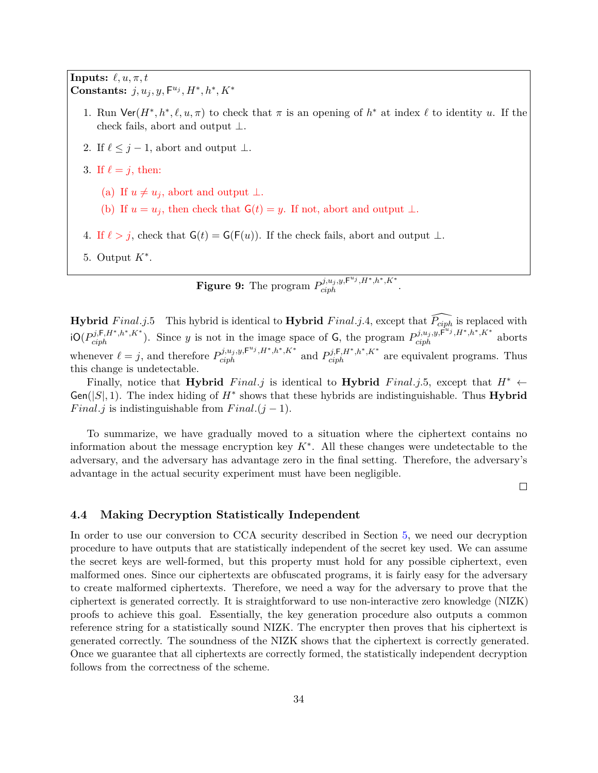<span id="page-33-1"></span>**Inputs:**  $\ell, u, \pi, t$ **Constants:**  $j, u_j, y, F^{u_j}, H^*, h^*, K^*$ 

- 1. Run  $\text{Ver}(H^*, h^*, \ell, u, \pi)$  to check that  $\pi$  is an opening of  $h^*$  at index  $\ell$  to identity *u*. If the check fails, abort and output ⊥.
- 2. If  $\ell \leq j 1$ , abort and output  $\bot$ .
- 3. If  $\ell = j$ , then:
	- (a) If  $u \neq u_j$ , abort and output  $\perp$ .
	- (b) If  $u = u_j$ , then check that  $G(t) = y$ . If not, abort and output ⊥.
- 4. If  $\ell > j$ , check that  $G(t) = G(F(u))$ . If the check fails, abort and output ⊥.
- 5. Output  $K^*$ .

**Figure 9:** The program 
$$
P_{ciph}^{j,u_j,y,\mathsf{F}^{u_j},H^*,h^*,K^*}
$$
.

**Hybrid** *Final.j.*5 This hybrid is identical to **Hybrid** *Final.j.*4, except that  $\widehat{P_{ciph}}$  is replaced with  $i\mathsf{O}(P_{ciph}^{j,\mathsf{F},H^*,h^*,K^*})$ . Since y is not in the image space of G, the program  $P_{ciph}^{j,u_j,y,\mathsf{F}^{u_j},H^*,h^*,K^*}$  aborts whenever  $\ell = j$ , and therefore  $P_{ciph}^{j,u_j,y,\mathsf{F}^{u_j},H^*,h^*,K^*}$  and  $P_{ciph}^{j,\mathsf{F},H^*,h^*,K^*}$  are equivalent programs. Thus this change is undetectable.

Finally, notice that **Hybrid** *Final.j* is identical to **Hybrid** *Final.j.*5, except that  $H^* \leftarrow$ Gen( $|S|$ , 1). The index hiding of  $H^*$  shows that these hybrids are indistinguishable. Thus **Hybrid** *Final.j* is indistinguishable from  $Final.(j - 1)$ .

To summarize, we have gradually moved to a situation where the ciphertext contains no information about the message encryption key *K*<sup>∗</sup> . All these changes were undetectable to the adversary, and the adversary has advantage zero in the final setting. Therefore, the adversary's advantage in the actual security experiment must have been negligible.

 $\Box$ 

#### <span id="page-33-0"></span>**4.4 Making Decryption Statistically Independent**

In order to use our conversion to CCA security described in Section [5,](#page-34-0) we need our decryption procedure to have outputs that are statistically independent of the secret key used. We can assume the secret keys are well-formed, but this property must hold for any possible ciphertext, even malformed ones. Since our ciphertexts are obfuscated programs, it is fairly easy for the adversary to create malformed ciphertexts. Therefore, we need a way for the adversary to prove that the ciphertext is generated correctly. It is straightforward to use non-interactive zero knowledge (NIZK) proofs to achieve this goal. Essentially, the key generation procedure also outputs a common reference string for a statistically sound NIZK. The encrypter then proves that his ciphertext is generated correctly. The soundness of the NIZK shows that the ciphertext is correctly generated. Once we guarantee that all ciphertexts are correctly formed, the statistically independent decryption follows from the correctness of the scheme.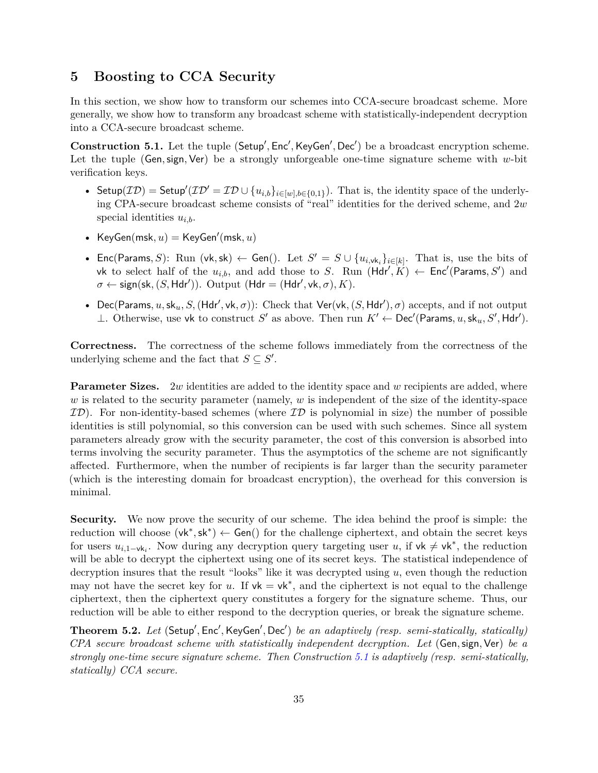# <span id="page-34-0"></span>**5 Boosting to CCA Security**

In this section, we show how to transform our schemes into CCA-secure broadcast scheme. More generally, we show how to transform any broadcast scheme with statistically-independent decryption into a CCA-secure broadcast scheme.

<span id="page-34-1"></span>**Construction 5.1.** Let the tuple (Setup', Enc', KeyGen', Dec') be a broadcast encryption scheme. Let the tuple (Gen*,*sign*,* Ver) be a strongly unforgeable one-time signature scheme with *w*-bit verification keys.

- Setup $(\mathcal{ID})$  = Setup' $(\mathcal{ID}' = \mathcal{ID} \cup \{u_{i,b}\}_{i \in [w], b \in \{0,1\}})$ . That is, the identity space of the underlying CPA-secure broadcast scheme consists of "real" identities for the derived scheme, and 2*w* special identities  $u_{i,b}$ .
- KeyGen $(msk, u)$  = KeyGen<sup>'</sup> $(msk, u)$
- Enc(Params, S): Run (vk, sk) ← Gen(). Let  $S' = S \cup \{u_{i,\forall k_i}\}_{i \in [k]}$ . That is, use the bits of vk to select half of the  $u_{i,b}$ , and add those to *S*. Run  $(Hdr', K) \leftarrow Enc'(Parameters, S')$  and  $\sigma \leftarrow$  sign(sk, (*S*, Hdr')). Output (Hdr = (Hdr', vk,  $\sigma$ ), *K*).
- Dec(Params,  $u$ , sk<sub>u</sub>,  $S$ , (Hdr', vk,  $\sigma$ )): Check that Ver(vk,  $(S, Hdr')$ ,  $\sigma$ ) accepts, and if not output ⊥. Otherwise, use vk to construct *S'* as above. Then run  $K' \leftarrow \text{Dec}'(\text{Params}, u, \text{sk}_u, S', \text{Hdr}').$

**Correctness.** The correctness of the scheme follows immediately from the correctness of the underlying scheme and the fact that  $S \subseteq S'$ .

**Parameter Sizes.** 2*w* identities are added to the identity space and *w* recipients are added, where *w* is related to the security parameter (namely, *w* is independent of the size of the identity-space  $\mathcal{ID}$ ). For non-identity-based schemes (where  $\mathcal{ID}$  is polynomial in size) the number of possible identities is still polynomial, so this conversion can be used with such schemes. Since all system parameters already grow with the security parameter, the cost of this conversion is absorbed into terms involving the security parameter. Thus the asymptotics of the scheme are not significantly affected. Furthermore, when the number of recipients is far larger than the security parameter (which is the interesting domain for broadcast encryption), the overhead for this conversion is minimal.

**Security.** We now prove the security of our scheme. The idea behind the proof is simple: the reduction will choose (vk<sup>\*</sup>, sk<sup>\*</sup>) ← Gen() for the challenge ciphertext, and obtain the secret keys for users  $u_{i,1-\mathsf{vk}_i}$ . Now during any decryption query targeting user  $u$ , if  $\mathsf{vk} \neq \mathsf{vk}^*$ , the reduction will be able to decrypt the ciphertext using one of its secret keys. The statistical independence of decryption insures that the result "looks" like it was decrypted using *u*, even though the reduction may not have the secret key for  $u$ . If  $vk = vk^*$ , and the ciphertext is not equal to the challenge ciphertext, then the ciphertext query constitutes a forgery for the signature scheme. Thus, our reduction will be able to either respond to the decryption queries, or break the signature scheme.

**Theorem 5.2.** *Let* (Setup', Enc', KeyGen', Dec') *be an adaptively (resp. semi-statically, statically) CPA secure broadcast scheme with statistically independent decryption. Let* (Gen*,*sign*,* Ver) *be a strongly one-time secure signature scheme. Then Construction [5.1](#page-34-1) is adaptively (resp. semi-statically, statically) CCA secure.*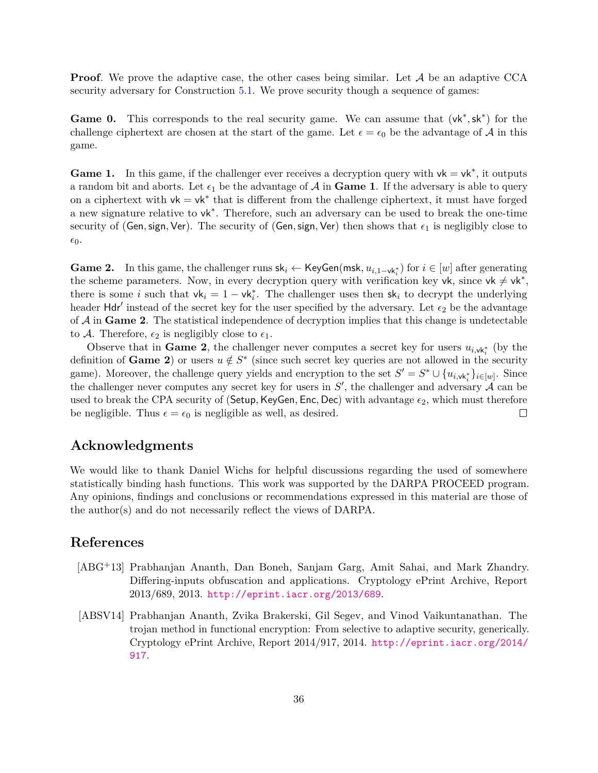**Proof**. We prove the adaptive case, the other cases being similar. Let A be an adaptive CCA security adversary for Construction [5.1.](#page-34-1) We prove security though a sequence of games:

Game 0. This corresponds to the real security game. We can assume that  $(vk^*, sk^*)$  for the challenge ciphertext are chosen at the start of the game. Let  $\epsilon = \epsilon_0$  be the advantage of A in this game.

**Game 1.** In this game, if the challenger ever receives a decryption query with  $vk = vk^*$ , it outputs a random bit and aborts. Let  $\epsilon_1$  be the advantage of A in **Game 1**. If the adversary is able to query on a ciphertext with  $vk = vk^*$  that is different from the challenge ciphertext, it must have forged a new signature relative to vk<sup>∗</sup> . Therefore, such an adversary can be used to break the one-time security of (Gen, sign, Ver). The security of (Gen, sign, Ver) then shows that  $\epsilon_1$  is negligibly close to  $\epsilon_0$ .

Game 2. In this game, the challenger runs  $sk_i$  ← KeyGen(msk,  $u_{i,1-vk_i^*}$ ) for  $i \in [w]$  after generating the scheme parameters. Now, in every decryption query with verification key vk, since vk  $\neq$  vk<sup>\*</sup>, there is some *i* such that  $vk_i = 1 - vk_i^*$ . The challenger uses then  $sk_i$  to decrypt the underlying header Hdr' instead of the secret key for the user specified by the adversary. Let  $\epsilon_2$  be the advantage of A in **Game 2**. The statistical independence of decryption implies that this change is undetectable to A. Therefore,  $\epsilon_2$  is negligibly close to  $\epsilon_1$ .

Observe that in **Game 2**, the challenger never computes a secret key for users  $u_{i,\mathsf{vk}_i^*}$  (by the definition of **Game 2**) or users  $u \notin S^*$  (since such secret key queries are not allowed in the security game). Moreover, the challenge query yields and encryption to the set  $S' = S^* \cup \{u_{i,\mathsf{vk}_i^*}\}_{i \in [w]}$ . Since the challenger never computes any secret key for users in  $S'$ , the challenger and adversary  $\mathcal A$  can be used to break the CPA security of (Setup, KeyGen, Enc, Dec) with advantage  $\epsilon_2$ , which must therefore be negligible. Thus  $\epsilon = \epsilon_0$  is negligible as well, as desired.  $\Box$ 

# **Acknowledgments**

We would like to thank Daniel Wichs for helpful discussions regarding the used of somewhere statistically binding hash functions. This work was supported by the DARPA PROCEED program. Any opinions, findings and conclusions or recommendations expressed in this material are those of the author(s) and do not necessarily reflect the views of DARPA.

# **References**

- <span id="page-35-0"></span>[ABG+13] Prabhanjan Ananth, Dan Boneh, Sanjam Garg, Amit Sahai, and Mark Zhandry. Differing-inputs obfuscation and applications. Cryptology ePrint Archive, Report 2013/689, 2013. <http://eprint.iacr.org/2013/689>.
- <span id="page-35-1"></span>[ABSV14] Prabhanjan Ananth, Zvika Brakerski, Gil Segev, and Vinod Vaikuntanathan. The trojan method in functional encryption: From selective to adaptive security, generically. Cryptology ePrint Archive, Report 2014/917, 2014. [http://eprint.iacr.org/2014/](http://eprint.iacr.org/2014/917) [917](http://eprint.iacr.org/2014/917).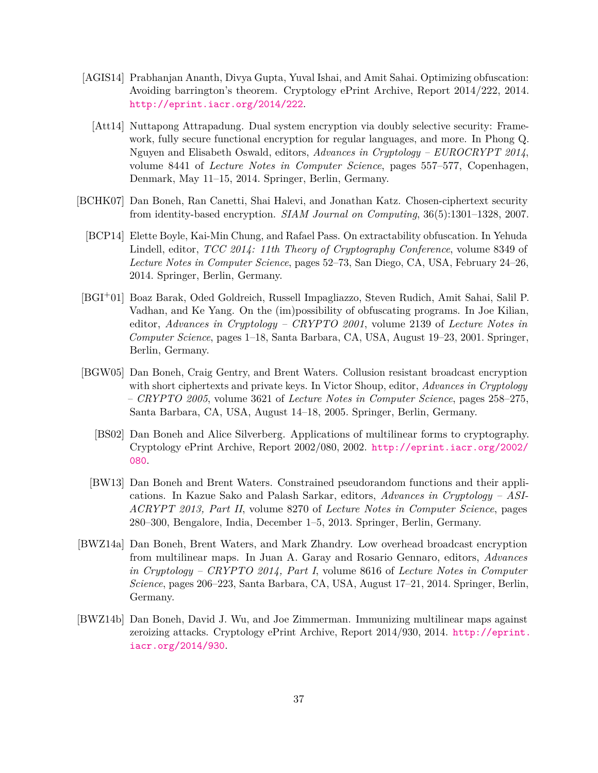- <span id="page-36-9"></span><span id="page-36-5"></span>[AGIS14] Prabhanjan Ananth, Divya Gupta, Yuval Ishai, and Amit Sahai. Optimizing obfuscation: Avoiding barrington's theorem. Cryptology ePrint Archive, Report 2014/222, 2014. <http://eprint.iacr.org/2014/222>.
	- [Att14] Nuttapong Attrapadung. Dual system encryption via doubly selective security: Framework, fully secure functional encryption for regular languages, and more. In Phong Q. Nguyen and Elisabeth Oswald, editors, *Advances in Cryptology – EUROCRYPT 2014*, volume 8441 of *Lecture Notes in Computer Science*, pages 557–577, Copenhagen, Denmark, May 11–15, 2014. Springer, Berlin, Germany.
- <span id="page-36-7"></span><span id="page-36-6"></span>[BCHK07] Dan Boneh, Ran Canetti, Shai Halevi, and Jonathan Katz. Chosen-ciphertext security from identity-based encryption. *SIAM Journal on Computing*, 36(5):1301–1328, 2007.
	- [BCP14] Elette Boyle, Kai-Min Chung, and Rafael Pass. On extractability obfuscation. In Yehuda Lindell, editor, *TCC 2014: 11th Theory of Cryptography Conference*, volume 8349 of *Lecture Notes in Computer Science*, pages 52–73, San Diego, CA, USA, February 24–26, 2014. Springer, Berlin, Germany.
- <span id="page-36-4"></span>[BGI+01] Boaz Barak, Oded Goldreich, Russell Impagliazzo, Steven Rudich, Amit Sahai, Salil P. Vadhan, and Ke Yang. On the (im)possibility of obfuscating programs. In Joe Kilian, editor, *Advances in Cryptology – CRYPTO 2001*, volume 2139 of *Lecture Notes in Computer Science*, pages 1–18, Santa Barbara, CA, USA, August 19–23, 2001. Springer, Berlin, Germany.
- <span id="page-36-1"></span><span id="page-36-0"></span>[BGW05] Dan Boneh, Craig Gentry, and Brent Waters. Collusion resistant broadcast encryption with short ciphertexts and private keys. In Victor Shoup, editor, *Advances in Cryptology – CRYPTO 2005*, volume 3621 of *Lecture Notes in Computer Science*, pages 258–275, Santa Barbara, CA, USA, August 14–18, 2005. Springer, Berlin, Germany.
	- [BS02] Dan Boneh and Alice Silverberg. Applications of multilinear forms to cryptography. Cryptology ePrint Archive, Report 2002/080, 2002. [http://eprint.iacr.org/2002/](http://eprint.iacr.org/2002/080) [080](http://eprint.iacr.org/2002/080).
	- [BW13] Dan Boneh and Brent Waters. Constrained pseudorandom functions and their applications. In Kazue Sako and Palash Sarkar, editors, *Advances in Cryptology – ASI-ACRYPT 2013, Part II*, volume 8270 of *Lecture Notes in Computer Science*, pages 280–300, Bengalore, India, December 1–5, 2013. Springer, Berlin, Germany.
- <span id="page-36-3"></span><span id="page-36-2"></span>[BWZ14a] Dan Boneh, Brent Waters, and Mark Zhandry. Low overhead broadcast encryption from multilinear maps. In Juan A. Garay and Rosario Gennaro, editors, *Advances in Cryptology – CRYPTO 2014, Part I*, volume 8616 of *Lecture Notes in Computer Science*, pages 206–223, Santa Barbara, CA, USA, August 17–21, 2014. Springer, Berlin, Germany.
- <span id="page-36-8"></span>[BWZ14b] Dan Boneh, David J. Wu, and Joe Zimmerman. Immunizing multilinear maps against zeroizing attacks. Cryptology ePrint Archive, Report 2014/930, 2014. [http://eprint.](http://eprint.iacr.org/2014/930) [iacr.org/2014/930](http://eprint.iacr.org/2014/930).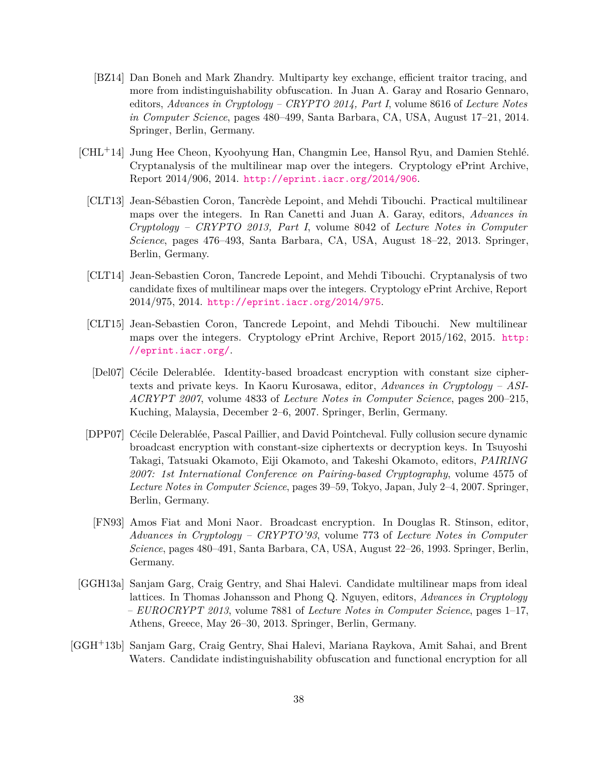- <span id="page-37-4"></span>[BZ14] Dan Boneh and Mark Zhandry. Multiparty key exchange, efficient traitor tracing, and more from indistinguishability obfuscation. In Juan A. Garay and Rosario Gennaro, editors, *Advances in Cryptology – CRYPTO 2014, Part I*, volume 8616 of *Lecture Notes in Computer Science*, pages 480–499, Santa Barbara, CA, USA, August 17–21, 2014. Springer, Berlin, Germany.
- <span id="page-37-9"></span><span id="page-37-8"></span><span id="page-37-7"></span><span id="page-37-6"></span><span id="page-37-3"></span>[CHL+14] Jung Hee Cheon, Kyoohyung Han, Changmin Lee, Hansol Ryu, and Damien Stehlé. Cryptanalysis of the multilinear map over the integers. Cryptology ePrint Archive, Report 2014/906, 2014. <http://eprint.iacr.org/2014/906>.
	- [CLT13] Jean-Sébastien Coron, Tancrède Lepoint, and Mehdi Tibouchi. Practical multilinear maps over the integers. In Ran Canetti and Juan A. Garay, editors, *Advances in Cryptology – CRYPTO 2013, Part I*, volume 8042 of *Lecture Notes in Computer Science*, pages 476–493, Santa Barbara, CA, USA, August 18–22, 2013. Springer, Berlin, Germany.
	- [CLT14] Jean-Sebastien Coron, Tancrede Lepoint, and Mehdi Tibouchi. Cryptanalysis of two candidate fixes of multilinear maps over the integers. Cryptology ePrint Archive, Report 2014/975, 2014. <http://eprint.iacr.org/2014/975>.
	- [CLT15] Jean-Sebastien Coron, Tancrede Lepoint, and Mehdi Tibouchi. New multilinear maps over the integers. Cryptology ePrint Archive, Report 2015/162, 2015. [http:](http://eprint.iacr.org/) [//eprint.iacr.org/](http://eprint.iacr.org/).
	- [Del07] Cécile Delerablée. Identity-based broadcast encryption with constant size ciphertexts and private keys. In Kaoru Kurosawa, editor, *Advances in Cryptology – ASI-ACRYPT 2007*, volume 4833 of *Lecture Notes in Computer Science*, pages 200–215, Kuching, Malaysia, December 2–6, 2007. Springer, Berlin, Germany.
	- [DPP07] Cécile Delerablée, Pascal Paillier, and David Pointcheval. Fully collusion secure dynamic broadcast encryption with constant-size ciphertexts or decryption keys. In Tsuyoshi Takagi, Tatsuaki Okamoto, Eiji Okamoto, and Takeshi Okamoto, editors, *PAIRING 2007: 1st International Conference on Pairing-based Cryptography*, volume 4575 of *Lecture Notes in Computer Science*, pages 39–59, Tokyo, Japan, July 2–4, 2007. Springer, Berlin, Germany.
	- [FN93] Amos Fiat and Moni Naor. Broadcast encryption. In Douglas R. Stinson, editor, *Advances in Cryptology – CRYPTO'93*, volume 773 of *Lecture Notes in Computer Science*, pages 480–491, Santa Barbara, CA, USA, August 22–26, 1993. Springer, Berlin, Germany.
- <span id="page-37-2"></span><span id="page-37-1"></span><span id="page-37-0"></span>[GGH13a] Sanjam Garg, Craig Gentry, and Shai Halevi. Candidate multilinear maps from ideal lattices. In Thomas Johansson and Phong Q. Nguyen, editors, *Advances in Cryptology – EUROCRYPT 2013*, volume 7881 of *Lecture Notes in Computer Science*, pages 1–17, Athens, Greece, May 26–30, 2013. Springer, Berlin, Germany.
- <span id="page-37-5"></span>[GGH+13b] Sanjam Garg, Craig Gentry, Shai Halevi, Mariana Raykova, Amit Sahai, and Brent Waters. Candidate indistinguishability obfuscation and functional encryption for all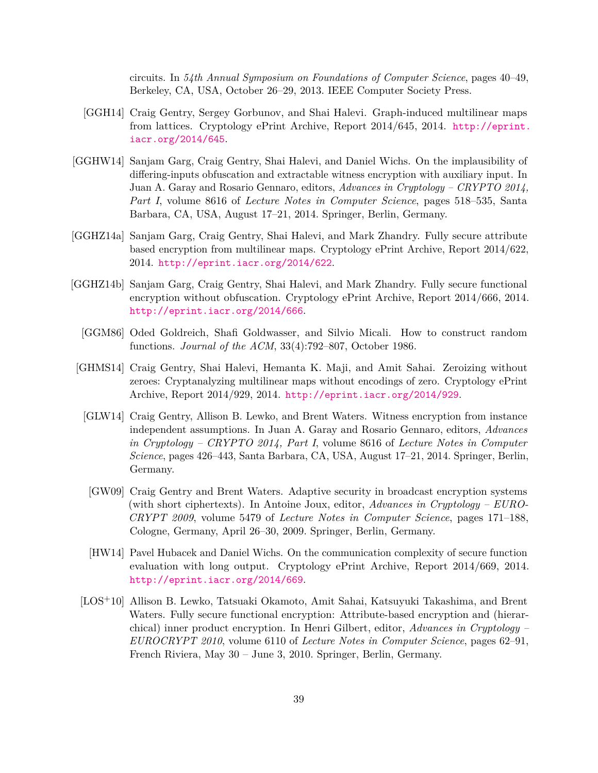circuits. In *54th Annual Symposium on Foundations of Computer Science*, pages 40–49, Berkeley, CA, USA, October 26–29, 2013. IEEE Computer Society Press.

- <span id="page-38-1"></span>[GGH14] Craig Gentry, Sergey Gorbunov, and Shai Halevi. Graph-induced multilinear maps from lattices. Cryptology ePrint Archive, Report 2014/645, 2014. [http://eprint.](http://eprint.iacr.org/2014/645) [iacr.org/2014/645](http://eprint.iacr.org/2014/645).
- <span id="page-38-2"></span>[GGHW14] Sanjam Garg, Craig Gentry, Shai Halevi, and Daniel Wichs. On the implausibility of differing-inputs obfuscation and extractable witness encryption with auxiliary input. In Juan A. Garay and Rosario Gennaro, editors, *Advances in Cryptology – CRYPTO 2014, Part I*, volume 8616 of *Lecture Notes in Computer Science*, pages 518–535, Santa Barbara, CA, USA, August 17–21, 2014. Springer, Berlin, Germany.
- <span id="page-38-5"></span>[GGHZ14a] Sanjam Garg, Craig Gentry, Shai Halevi, and Mark Zhandry. Fully secure attribute based encryption from multilinear maps. Cryptology ePrint Archive, Report 2014/622, 2014. <http://eprint.iacr.org/2014/622>.
- <span id="page-38-3"></span>[GGHZ14b] Sanjam Garg, Craig Gentry, Shai Halevi, and Mark Zhandry. Fully secure functional encryption without obfuscation. Cryptology ePrint Archive, Report 2014/666, 2014. <http://eprint.iacr.org/2014/666>.
	- [GGM86] Oded Goldreich, Shafi Goldwasser, and Silvio Micali. How to construct random functions. *Journal of the ACM*, 33(4):792–807, October 1986.
- <span id="page-38-9"></span><span id="page-38-8"></span><span id="page-38-6"></span>[GHMS14] Craig Gentry, Shai Halevi, Hemanta K. Maji, and Amit Sahai. Zeroizing without zeroes: Cryptanalyzing multilinear maps without encodings of zero. Cryptology ePrint Archive, Report 2014/929, 2014. <http://eprint.iacr.org/2014/929>.
	- [GLW14] Craig Gentry, Allison B. Lewko, and Brent Waters. Witness encryption from instance independent assumptions. In Juan A. Garay and Rosario Gennaro, editors, *Advances in Cryptology – CRYPTO 2014, Part I*, volume 8616 of *Lecture Notes in Computer Science*, pages 426–443, Santa Barbara, CA, USA, August 17–21, 2014. Springer, Berlin, Germany.
	- [GW09] Craig Gentry and Brent Waters. Adaptive security in broadcast encryption systems (with short ciphertexts). In Antoine Joux, editor, *Advances in Cryptology – EURO-CRYPT 2009*, volume 5479 of *Lecture Notes in Computer Science*, pages 171–188, Cologne, Germany, April 26–30, 2009. Springer, Berlin, Germany.
	- [HW14] Pavel Hubacek and Daniel Wichs. On the communication complexity of secure function evaluation with long output. Cryptology ePrint Archive, Report 2014/669, 2014. <http://eprint.iacr.org/2014/669>.
- <span id="page-38-7"></span><span id="page-38-4"></span><span id="page-38-0"></span>[LOS+10] Allison B. Lewko, Tatsuaki Okamoto, Amit Sahai, Katsuyuki Takashima, and Brent Waters. Fully secure functional encryption: Attribute-based encryption and (hierarchical) inner product encryption. In Henri Gilbert, editor, *Advances in Cryptology – EUROCRYPT 2010*, volume 6110 of *Lecture Notes in Computer Science*, pages 62–91, French Riviera, May 30 – June 3, 2010. Springer, Berlin, Germany.